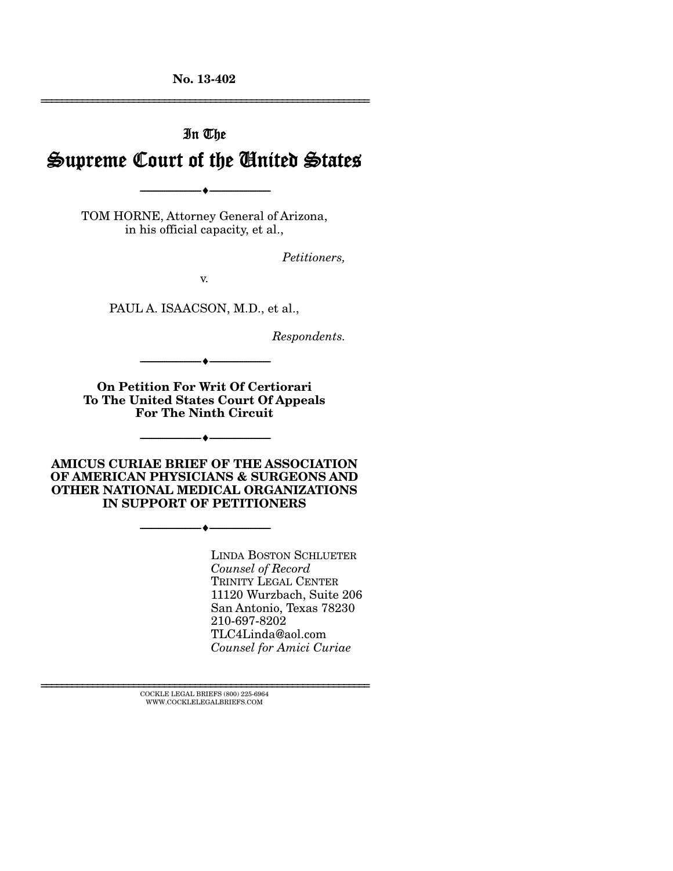**No. 13-402** 

# In The Supreme Court of the United States

TOM HORNE, Attorney General of Arizona, in his official capacity, et al.,

--------------------------------- ---------------------------------

*Petitioners,* 

================================================================

v.

PAUL A. ISAACSON, M.D., et al.,

*Respondents.* 

**On Petition For Writ Of Certiorari To The United States Court Of Appeals For The Ninth Circuit** 

--------------------------------- ---------------------------------

--------------------------------- ---------------------------------

**AMICUS CURIAE BRIEF OF THE ASSOCIATION OF AMERICAN PHYSICIANS & SURGEONS AND OTHER NATIONAL MEDICAL ORGANIZATIONS IN SUPPORT OF PETITIONERS** 

--------------------------------- ---------------------------------

LINDA BOSTON SCHLUETER *Counsel of Record*  TRINITY LEGAL CENTER 11120 Wurzbach, Suite 206 San Antonio, Texas 78230 210-697-8202 TLC4Linda@aol.com *Counsel for Amici Curiae* 

 $\textsc{COCKLE}$  LEGAL BRIEFS (800) 225-6964 WWW.COCKLELEGALBRIEFS.COM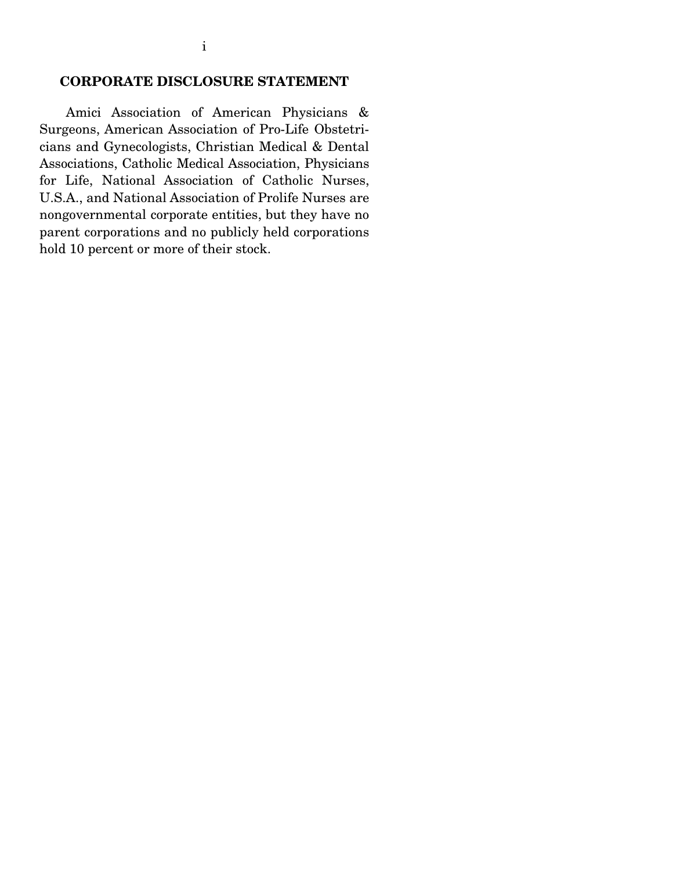### **CORPORATE DISCLOSURE STATEMENT**

 Amici Association of American Physicians & Surgeons, American Association of Pro-Life Obstetricians and Gynecologists, Christian Medical & Dental Associations, Catholic Medical Association, Physicians for Life, National Association of Catholic Nurses, U.S.A., and National Association of Prolife Nurses are nongovernmental corporate entities, but they have no parent corporations and no publicly held corporations hold 10 percent or more of their stock.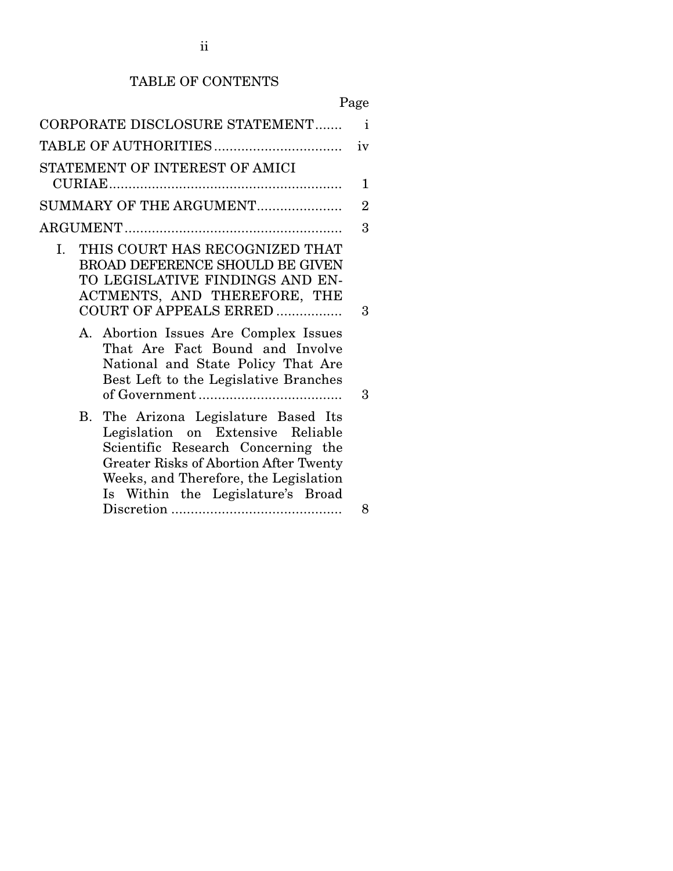# TABLE OF CONTENTS

| L<br>٠<br>۰<br>٦ |
|------------------|
|------------------|

| CORPORATE DISCLOSURE STATEMENT                                                                                                                                                                                                                           | $\mathbf{i}$   |  |  |  |  |  |
|----------------------------------------------------------------------------------------------------------------------------------------------------------------------------------------------------------------------------------------------------------|----------------|--|--|--|--|--|
|                                                                                                                                                                                                                                                          | iv             |  |  |  |  |  |
| STATEMENT OF INTEREST OF AMICI                                                                                                                                                                                                                           |                |  |  |  |  |  |
|                                                                                                                                                                                                                                                          | 1              |  |  |  |  |  |
| SUMMARY OF THE ARGUMENT                                                                                                                                                                                                                                  | $\overline{2}$ |  |  |  |  |  |
|                                                                                                                                                                                                                                                          | 3              |  |  |  |  |  |
| I. THIS COURT HAS RECOGNIZED THAT<br>BROAD DEFERENCE SHOULD BE GIVEN<br>TO LEGISLATIVE FINDINGS AND EN-<br>ACTMENTS, AND THEREFORE, THE<br>COURT OF APPEALS ERRED<br>A. Abortion Issues Are Complex Issues                                               | 3              |  |  |  |  |  |
| That Are Fact Bound and Involve<br>National and State Policy That Are<br>Best Left to the Legislative Branches                                                                                                                                           | 3              |  |  |  |  |  |
| The Arizona Legislature Based Its<br><b>B.</b><br>Legislation on Extensive Reliable<br>Scientific Research Concerning the<br><b>Greater Risks of Abortion After Twenty</b><br>Weeks, and Therefore, the Legislation<br>Is Within the Legislature's Broad | 8              |  |  |  |  |  |
|                                                                                                                                                                                                                                                          |                |  |  |  |  |  |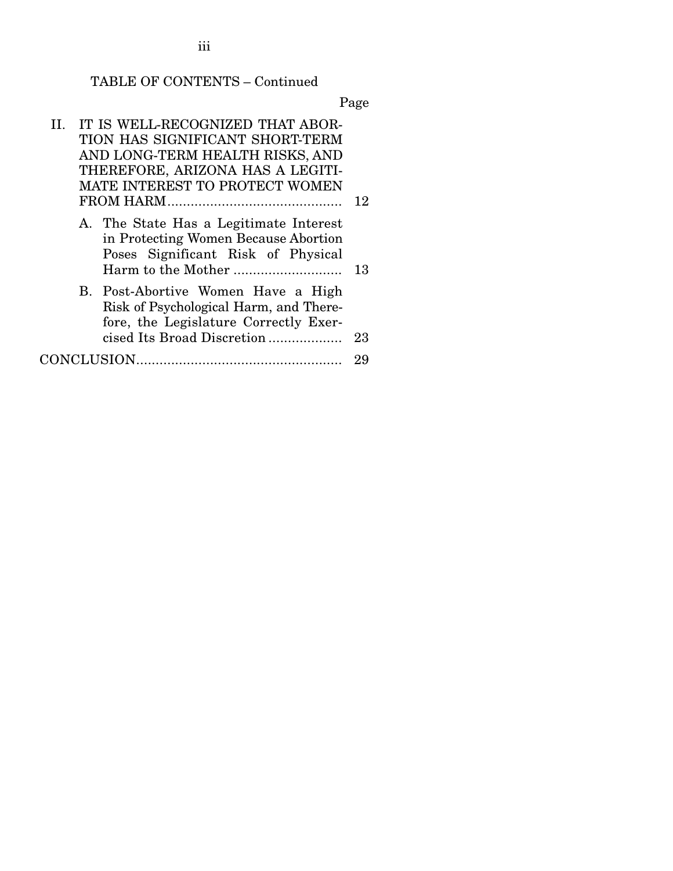iii

# TABLE OF CONTENTS – Continued

| II. IT IS WELL-RECOGNIZED THAT ABOR-<br>TION HAS SIGNIFICANT SHORT-TERM<br>AND LONG-TERM HEALTH RISKS, AND<br>THEREFORE, ARIZONA HAS A LEGITI-<br>MATE INTEREST TO PROTECT WOMEN | 12 |
|----------------------------------------------------------------------------------------------------------------------------------------------------------------------------------|----|
| A. The State Has a Legitimate Interest<br>in Protecting Women Because Abortion<br>Poses Significant Risk of Physical                                                             | 13 |
| B. Post-Abortive Women Have a High<br>Risk of Psychological Harm, and There-<br>fore, the Legislature Correctly Exer-<br>cised Its Broad Discretion                              | 23 |
|                                                                                                                                                                                  | 29 |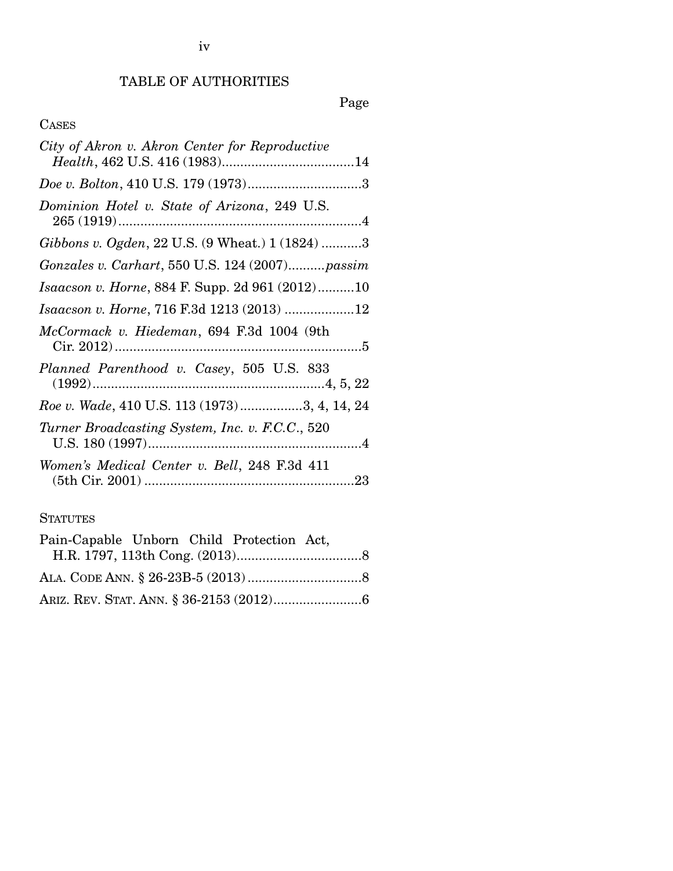# Page

# CASES

| City of Akron v. Akron Center for Reproductive  |
|-------------------------------------------------|
|                                                 |
| Dominion Hotel v. State of Arizona, 249 U.S.    |
| Gibbons v. Ogden, 22 U.S. (9 Wheat.) 1 (1824) 3 |
| Gonzales v. Carhart, 550 U.S. 124 (2007) passim |
| Isaacson v. Horne, 884 F. Supp. 2d 961 (2012)10 |
| Isaacson v. Horne, 716 F.3d 1213 (2013) 12      |
| McCormack v. Hiedeman, 694 F.3d 1004 (9th       |
| Planned Parenthood v. Casey, 505 U.S. 833       |
| Roe v. Wade, 410 U.S. 113 (1973)3, 4, 14, 24    |
| Turner Broadcasting System, Inc. v. F.C.C., 520 |
| Women's Medical Center v. Bell, 248 F.3d 411    |
|                                                 |

# **STATUTES**

| Pain-Capable Unborn Child Protection Act, |  |
|-------------------------------------------|--|
|                                           |  |
|                                           |  |
|                                           |  |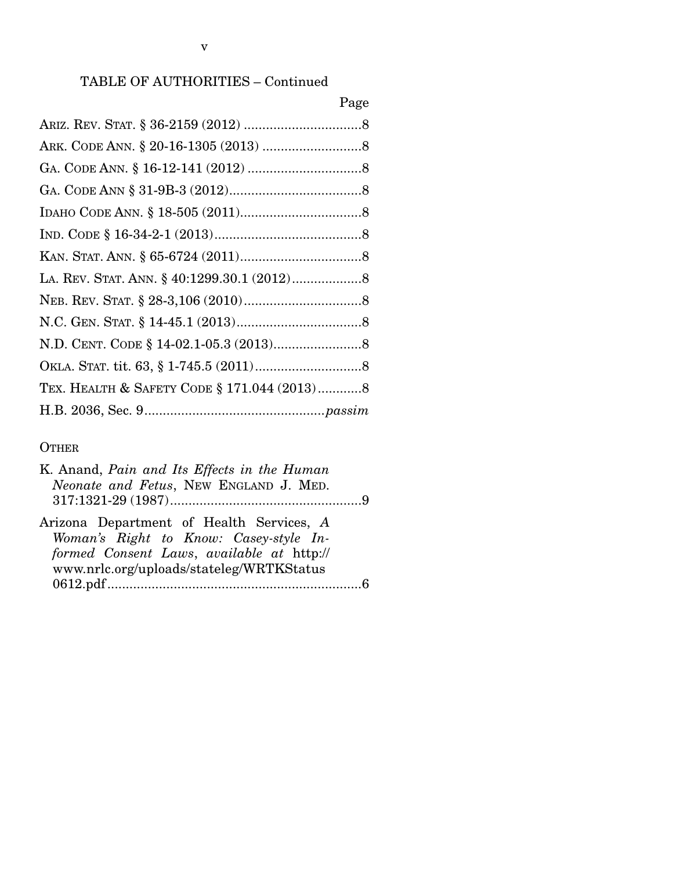# Page

| TEX. HEALTH & SAFETY CODE § 171.044 (2013)8 |  |
|---------------------------------------------|--|
|                                             |  |

## **OTHER**

| K. Anand, Pain and Its Effects in the Human |
|---------------------------------------------|
| Neonate and Fetus, NEW ENGLAND J. MED.      |
|                                             |
| Arizona Department of Health Services, A    |
| Woman's Right to Know: Casey-style In-      |
| formed Consent Laws, available at http://   |
| www.nrlc.org/uploads/stateleg/WRTKStatus    |
|                                             |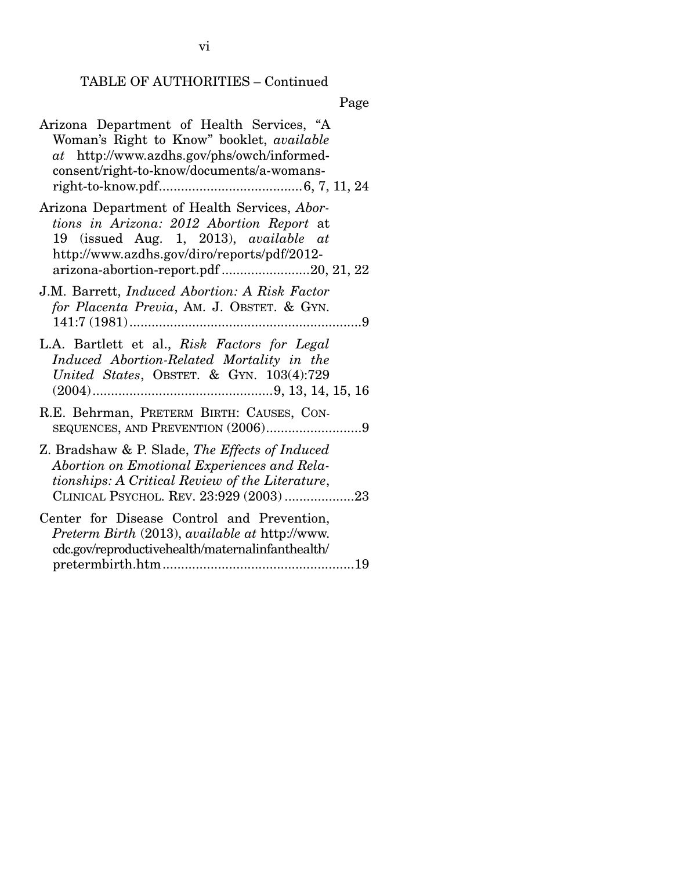Page

Arizona Department of Health Services, "A Woman's Right to Know" booklet, *available at* http://www.azdhs.gov/phs/owch/informedconsent/right-to-know/documents/a-womansright-to-know.pdf ....................................... 6, 7, 11, 24 Arizona Department of Health Services, *Abortions in Arizona: 2012 Abortion Report* at 19 (issued Aug. 1, 2013), *available at* http://www.azdhs.gov/diro/reports/pdf/2012 arizona-abortion-report.pdf ........................ 20, 21, 22 J.M. Barrett, *Induced Abortion: A Risk Factor for Placenta Previa*, AM. J. OBSTET. & GYN. 141:7 (1981) ............................................................... 9 L.A. Bartlett et al., *Risk Factors for Legal Induced Abortion-Related Mortality in the United States*, OBSTET. & GYN. 103(4):729 (2004) ................................................. 9, 13, 14, 15, 16 R.E. Behrman, PRETERM BIRTH: CAUSES, CON-SEQUENCES, AND PREVENTION  $(2006)$ ...............................9 Z. Bradshaw & P. Slade, *The Effects of Induced Abortion on Emotional Experiences and Relationships: A Critical Review of the Literature*, CLINICAL PSYCHOL. REV. 23:929 (2003) ................... 23 Center for Disease Control and Prevention, *Preterm Birth* (2013), *available at* http://www. cdc.gov/reproductivehealth/maternalinfanthealth/ pretermbirth.htm .................................................... 19

vi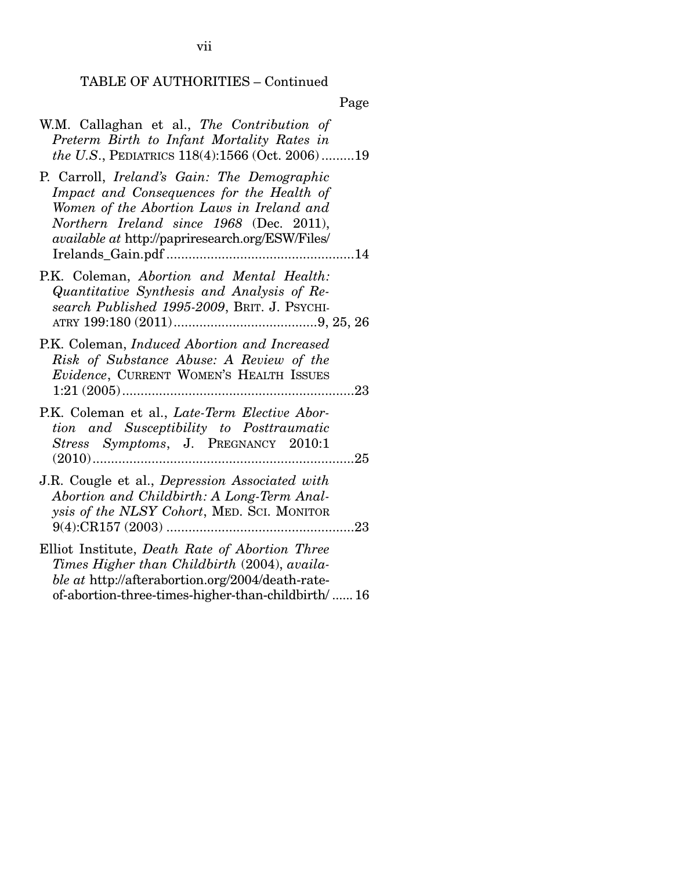|  |  |  | W.M. Callaghan et al., The Contribution of             |  |  |
|--|--|--|--------------------------------------------------------|--|--|
|  |  |  | Preterm Birth to Infant Mortality Rates in             |  |  |
|  |  |  | <i>the U.S.</i> , PEDIATRICS 118(4):1566 (Oct. 2006)19 |  |  |

- P. Carroll, *Ireland's Gain: The Demographic Impact and Consequences for the Health of Women of the Abortion Laws in Ireland and Northern Ireland since 1968* (Dec. 2011), *available at* http://papriresearch.org/ESW/Files/ Irelands\_Gain.pdf ................................................... 14
- P.K. Coleman, *Abortion and Mental Health: Quantitative Synthesis and Analysis of Research Published 1995-2009*, BRIT. J. PSYCHI-ATRY 199:180 (2011) ....................................... 9, 25, 26
- P.K. Coleman, *Induced Abortion and Increased Risk of Substance Abuse: A Review of the Evidence*, CURRENT WOMEN'S HEALTH ISSUES 1:21 (2005) ............................................................... 23
- P.K. Coleman et al., *Late-Term Elective Abortion and Susceptibility to Posttraumatic Stress Symptoms*, J. PREGNANCY 2010:1 (2010) ....................................................................... 25
- J.R. Cougle et al., *Depression Associated with Abortion and Childbirth: A Long-Term Analysis of the NLSY Cohort*, MED. SCI. MONITOR 9(4):CR157 (2003) ................................................... 23
- Elliot Institute, *Death Rate of Abortion Three Times Higher than Childbirth* (2004), *available at* http://afterabortion.org/2004/death-rateof-abortion-three-times-higher-than-childbirth/ ...... 16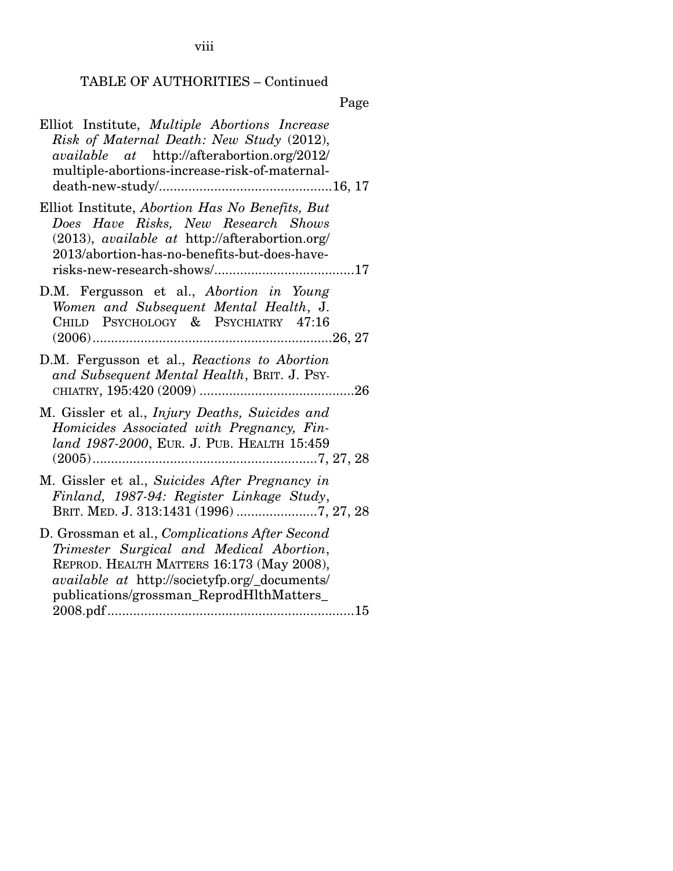viii

# TABLE OF AUTHORITIES – Continued

| Elliot Institute, Multiple Abortions Increase<br>Risk of Maternal Death: New Study (2012),<br>$available \quad at \quad \frac{http://afterabortion.org/2012/}{$<br>multiple-abortions-increase-risk-of-maternal-                            |
|---------------------------------------------------------------------------------------------------------------------------------------------------------------------------------------------------------------------------------------------|
| Elliot Institute, Abortion Has No Benefits, But<br>Does Have Risks, New Research Shows<br>(2013), available at http://afterabortion.org/<br>2013/abortion-has-no-benefits-but-does-have-                                                    |
| D.M. Fergusson et al., Abortion in Young<br>Women and Subsequent Mental Health, J.<br>CHILD PSYCHOLOGY & PSYCHIATRY 47:16                                                                                                                   |
| D.M. Fergusson et al., Reactions to Abortion<br>and Subsequent Mental Health, BRIT. J. PSY-                                                                                                                                                 |
| M. Gissler et al., <i>Injury Deaths</i> , <i>Suicides and</i><br>Homicides Associated with Pregnancy, Fin-<br>land 1987-2000, EUR. J. PUB. HEALTH 15:459                                                                                    |
| M. Gissler et al., Suicides After Pregnancy in<br>Finland, 1987-94: Register Linkage Study,<br>BRIT. MED. J. 313:1431 (1996) 7, 27, 28                                                                                                      |
| D. Grossman et al., Complications After Second<br>Trimester Surgical and Medical Abortion,<br>REPROD. HEALTH MATTERS 16:173 (May 2008),<br><i>available at http://societyfp.org/_documents/</i><br>publications/grossman_ReprodHlthMatters_ |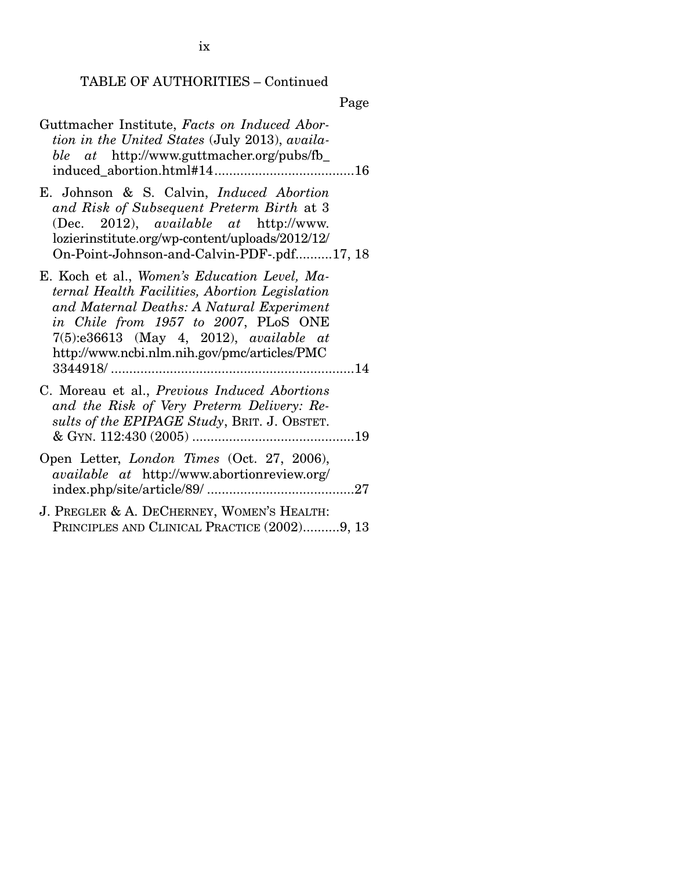| Guttmacher Institute, Facts on Induced Abor-<br>tion in the United States (July 2013), availa-<br><i>ble at</i> http://www.guttmacher.org/pubs/fb_                                                                                                                               |
|----------------------------------------------------------------------------------------------------------------------------------------------------------------------------------------------------------------------------------------------------------------------------------|
| E. Johnson & S. Calvin, <i>Induced Abortion</i><br>and Risk of Subsequent Preterm Birth at 3<br>(Dec. 2012), <i>available at</i> http://www.<br>lozierinstitute.org/wp-content/uploads/2012/12/<br>On-Point-Johnson-and-Calvin-PDF-.pdf17, 18                                    |
| E. Koch et al., Women's Education Level, Ma-<br>ternal Health Facilities, Abortion Legislation<br>and Maternal Deaths: A Natural Experiment<br>in Chile from 1957 to 2007, PLoS ONE<br>$7(5):e36613$ (May 4, 2012), available at<br>http://www.ncbi.nlm.nih.gov/pmc/articles/PMC |
| C. Moreau et al., Previous Induced Abortions<br>and the Risk of Very Preterm Delivery: Re-<br>sults of the EPIPAGE Study, BRIT. J. OBSTET.                                                                                                                                       |
| Open Letter, London Times (Oct. 27, 2006),<br><i>available at http://www.abortionreview.org/</i>                                                                                                                                                                                 |
| J. PREGLER & A. DECHERNEY, WOMEN'S HEALTH:<br>PRINCIPLES AND CLINICAL PRACTICE (2002)9, 13                                                                                                                                                                                       |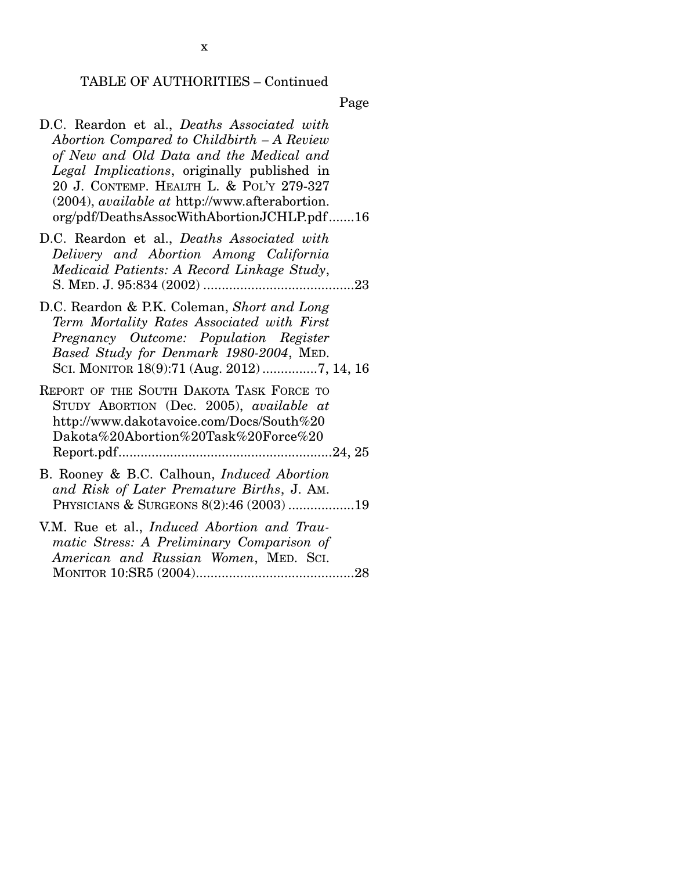Page

- D.C. Reardon et al., *Deaths Associated with Abortion Compared to Childbirth – A Review of New and Old Data and the Medical and Legal Implications*, originally published in 20 J. CONTEMP. HEALTH L. & POL'Y 279-327 (2004), *available at* http://www.afterabortion. org/pdf/DeathsAssocWithAbortionJCHLP.pdf ....... 16
- D.C. Reardon et al., *Deaths Associated with Delivery and Abortion Among California Medicaid Patients: A Record Linkage Study*, S. MED. J. 95:834 (2002) ......................................... 23
- D.C. Reardon & P.K. Coleman, *Short and Long Term Mortality Rates Associated with First Pregnancy Outcome: Population Register Based Study for Denmark 1980-2004*, MED. SCI. MONITOR 18(9):71 (Aug. 2012) ............... 7, 14, 16

REPORT OF THE SOUTH DAKOTA TASK FORCE TO STUDY ABORTION (Dec. 2005), *available at* http://www.dakotavoice.com/Docs/South%20 Dakota%20Abortion%20Task%20Force%20 Report.pdf .......................................................... 24, 25

- B. Rooney & B.C. Calhoun, *Induced Abortion and Risk of Later Premature Births*, J. AM. PHYSICIANS & SURGEONS 8(2):46 (2003) .................. 19
- V.M. Rue et al., *Induced Abortion and Traumatic Stress: A Preliminary Comparison of American and Russian Women*, MED. SCI. MONITOR 10:SR5 (2004) ........................................... 28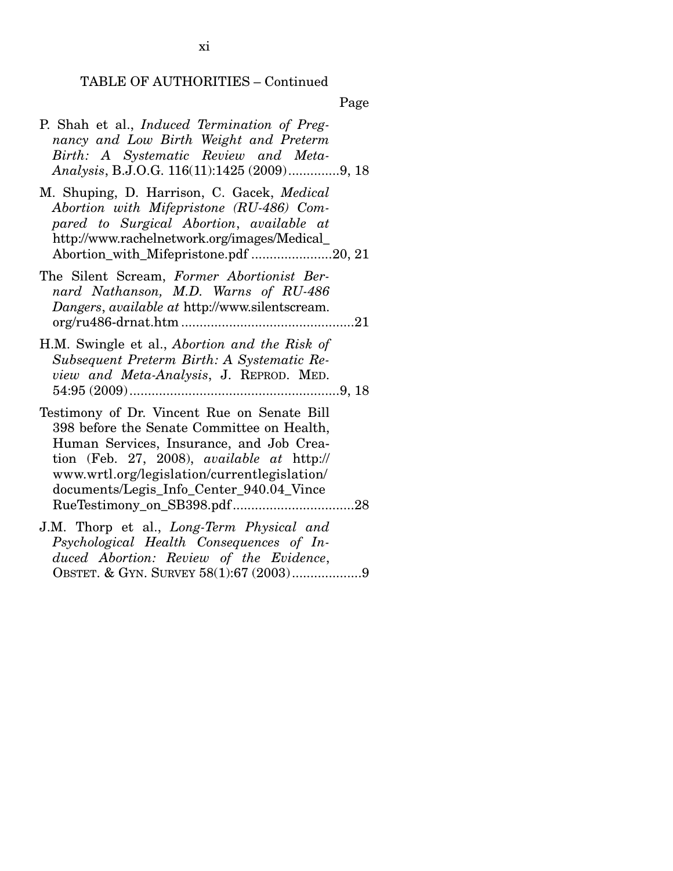Page

- P. Shah et al., *Induced Termination of Pregnancy and Low Birth Weight and Preterm Birth: A Systematic Review and Meta-Analysis*, B.J.O.G. 116(11):1425 (2009) .............. 9, 18
- M. Shuping, D. Harrison, C. Gacek, *Medical Abortion with Mifepristone (RU-486) Compared to Surgical Abortion*, *available at* http://www.rachelnetwork.org/images/Medical\_ Abortion\_with\_Mifepristone.pdf ...................... 20, 21
- The Silent Scream, *Former Abortionist Bernard Nathanson, M.D. Warns of RU-486 Dangers*, *available at* http://www.silentscream. org/ru486-drnat.htm ............................................... 21
- H.M. Swingle et al., *Abortion and the Risk of Subsequent Preterm Birth: A Systematic Review and Meta-Analysis*, J. REPROD. MED. 54:95 (2009) ......................................................... 9, 18
- Testimony of Dr. Vincent Rue on Senate Bill 398 before the Senate Committee on Health, Human Services, Insurance, and Job Creation (Feb. 27, 2008), *available at* http:// www.wrtl.org/legislation/currentlegislation/ documents/Legis\_Info\_Center\_940.04\_Vince RueTestimony\_on\_SB398.pdf ................................. 28
- J.M. Thorp et al., *Long-Term Physical and Psychological Health Consequences of Induced Abortion: Review of the Evidence*, OBSTET. & GYN. SURVEY 58(1):67 (2003) ................... 9

xi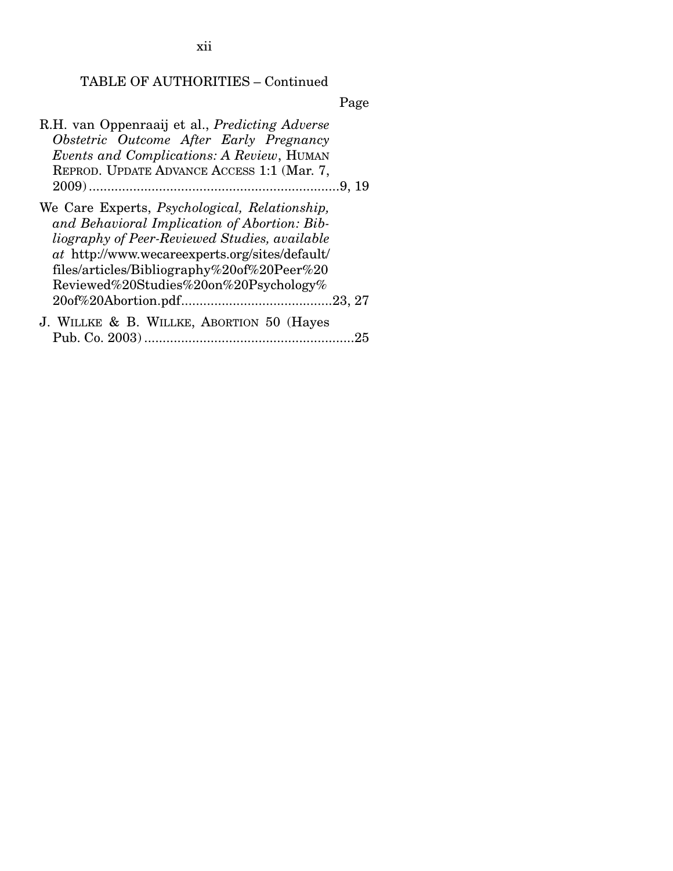Page

| R.H. van Oppenraaij et al., <i>Predicting Adverse</i><br>Obstetric Outcome After Early Pregnancy<br>Events and Complications: A Review, HUMAN<br>REPROD. UPDATE ADVANCE ACCESS 1:1 (Mar. 7,                                                                                                                    |
|----------------------------------------------------------------------------------------------------------------------------------------------------------------------------------------------------------------------------------------------------------------------------------------------------------------|
| We Care Experts, <i>Psychological</i> , <i>Relationship</i> ,<br>and Behavioral Implication of Abortion: Bib-<br>liography of Peer-Reviewed Studies, available<br><i>at</i> http://www.wecareexperts.org/sites/default/<br>files/articles/Bibliography%20of%20Peer%20<br>Reviewed%20Studies%20on%20Psychology% |
|                                                                                                                                                                                                                                                                                                                |
| J. WILLKE & B. WILLKE, ABORTION 50 (Hayes<br>25                                                                                                                                                                                                                                                                |

xii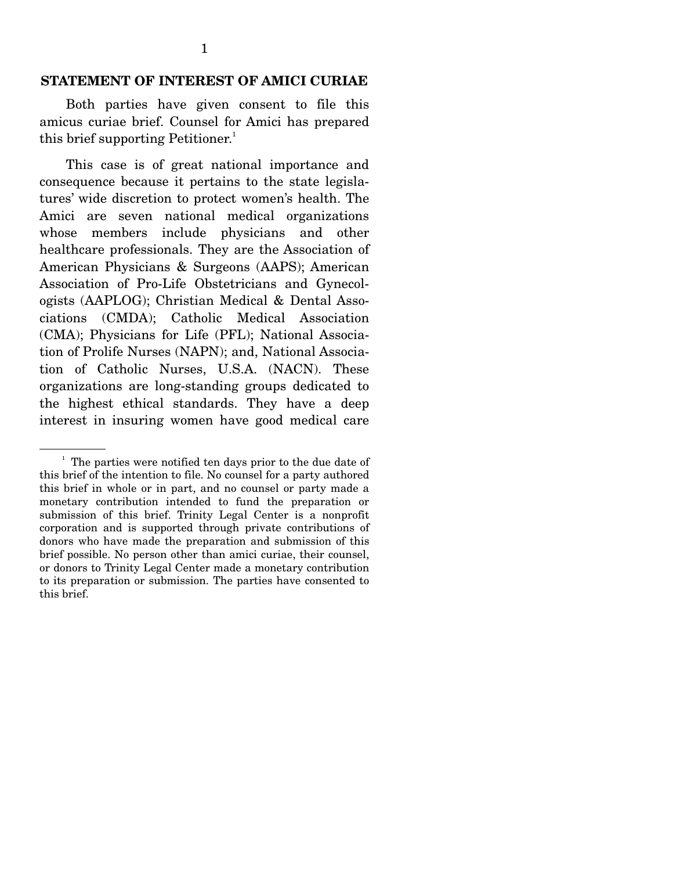### **STATEMENT OF INTEREST OF AMICI CURIAE**

 Both parties have given consent to file this amicus curiae brief. Counsel for Amici has prepared this brief supporting Petitioner.<sup>1</sup>

 This case is of great national importance and consequence because it pertains to the state legislatures' wide discretion to protect women's health. The Amici are seven national medical organizations whose members include physicians and other healthcare professionals. They are the Association of American Physicians & Surgeons (AAPS); American Association of Pro-Life Obstetricians and Gynecologists (AAPLOG); Christian Medical & Dental Associations (CMDA); Catholic Medical Association (CMA); Physicians for Life (PFL); National Association of Prolife Nurses (NAPN); and, National Association of Catholic Nurses, U.S.A. (NACN). These organizations are long-standing groups dedicated to the highest ethical standards. They have a deep interest in insuring women have good medical care

<sup>&</sup>lt;sup>1</sup> The parties were notified ten days prior to the due date of this brief of the intention to file. No counsel for a party authored this brief in whole or in part, and no counsel or party made a monetary contribution intended to fund the preparation or submission of this brief. Trinity Legal Center is a nonprofit corporation and is supported through private contributions of donors who have made the preparation and submission of this brief possible. No person other than amici curiae, their counsel, or donors to Trinity Legal Center made a monetary contribution to its preparation or submission. The parties have consented to this brief.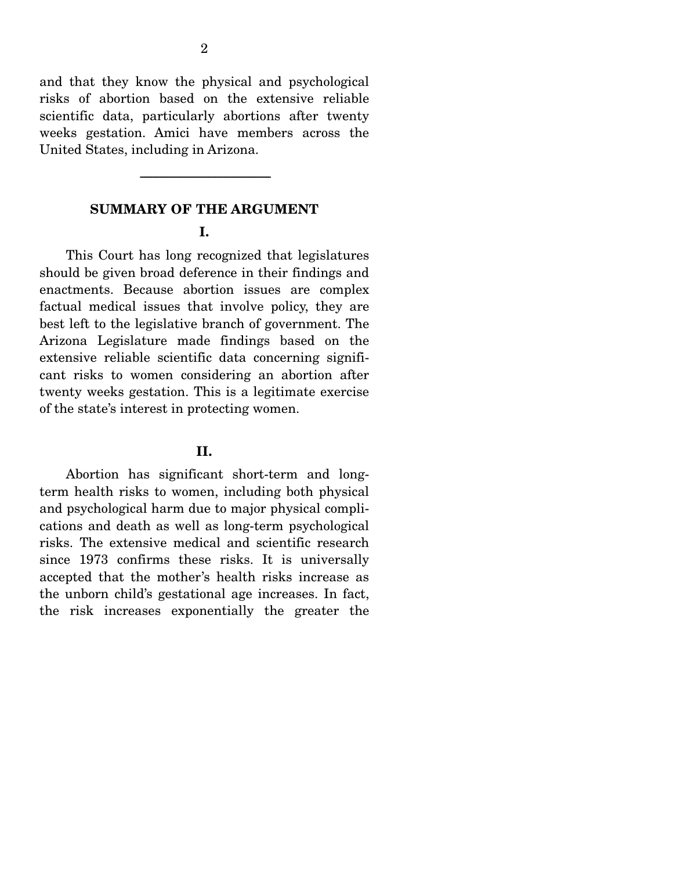and that they know the physical and psychological risks of abortion based on the extensive reliable scientific data, particularly abortions after twenty weeks gestation. Amici have members across the United States, including in Arizona.

### **SUMMARY OF THE ARGUMENT**

-----------------------------------------------------------------------

#### **I.**

 This Court has long recognized that legislatures should be given broad deference in their findings and enactments. Because abortion issues are complex factual medical issues that involve policy, they are best left to the legislative branch of government. The Arizona Legislature made findings based on the extensive reliable scientific data concerning significant risks to women considering an abortion after twenty weeks gestation. This is a legitimate exercise of the state's interest in protecting women.

#### **II.**

 Abortion has significant short-term and longterm health risks to women, including both physical and psychological harm due to major physical complications and death as well as long-term psychological risks. The extensive medical and scientific research since 1973 confirms these risks. It is universally accepted that the mother's health risks increase as the unborn child's gestational age increases. In fact, the risk increases exponentially the greater the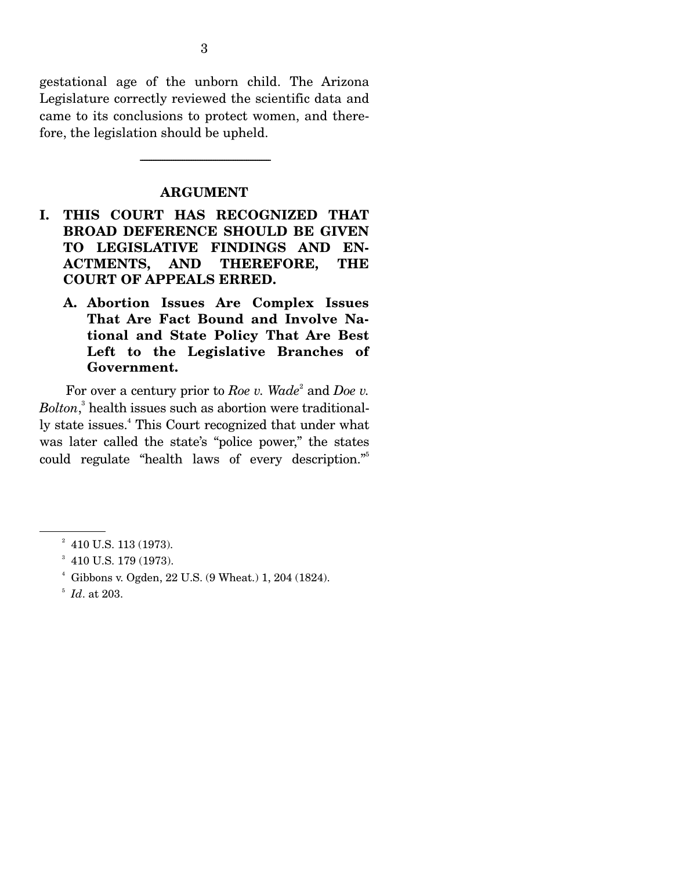gestational age of the unborn child. The Arizona Legislature correctly reviewed the scientific data and came to its conclusions to protect women, and therefore, the legislation should be upheld.

#### **ARGUMENT**

-----------------------------------------------------------------------

- **I. THIS COURT HAS RECOGNIZED THAT BROAD DEFERENCE SHOULD BE GIVEN TO LEGISLATIVE FINDINGS AND EN-ACTMENTS, AND THEREFORE, THE COURT OF APPEALS ERRED.** 
	- **A. Abortion Issues Are Complex Issues That Are Fact Bound and Involve National and State Policy That Are Best Left to the Legislative Branches of Government.**

For over a century prior to *Roe v.* Wade<sup>2</sup> and *Doe v. Bolton*, 3 health issues such as abortion were traditionally state issues.<sup>4</sup> This Court recognized that under what was later called the state's "police power," the states could regulate "health laws of every description."5

 $2^2$  410 U.S. 113 (1973).

<sup>&</sup>lt;sup>3</sup> 410 U.S. 179 (1973).

<sup>4</sup> Gibbons v. Ogden, 22 U.S. (9 Wheat.) 1, 204 (1824).

<sup>5</sup> *Id*. at 203.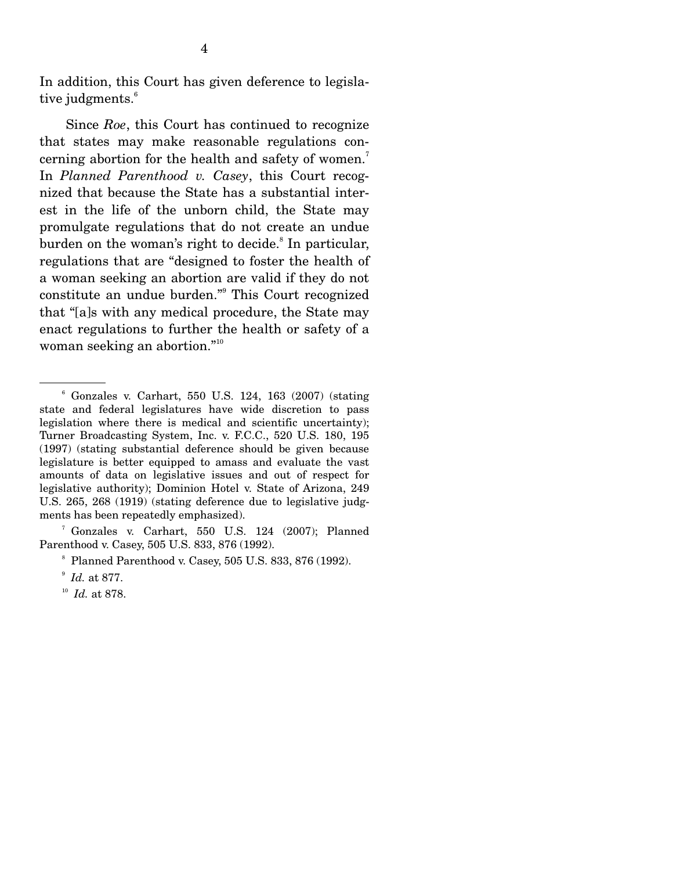In addition, this Court has given deference to legislative judgments.<sup>6</sup>

 Since *Roe*, this Court has continued to recognize that states may make reasonable regulations concerning abortion for the health and safety of women.<sup>7</sup> In *Planned Parenthood v. Casey*, this Court recognized that because the State has a substantial interest in the life of the unborn child, the State may promulgate regulations that do not create an undue burden on the woman's right to decide.<sup>8</sup> In particular, regulations that are "designed to foster the health of a woman seeking an abortion are valid if they do not constitute an undue burden."<sup>9</sup> This Court recognized that "[a]s with any medical procedure, the State may enact regulations to further the health or safety of a woman seeking an abortion."<sup>10</sup>

7 Gonzales v. Carhart, 550 U.S. 124 (2007); Planned Parenthood v. Casey, 505 U.S. 833, 876 (1992).

<sup>6</sup> Gonzales v. Carhart, 550 U.S. 124, 163 (2007) (stating state and federal legislatures have wide discretion to pass legislation where there is medical and scientific uncertainty); Turner Broadcasting System, Inc. v. F.C.C., 520 U.S. 180, 195 (1997) (stating substantial deference should be given because legislature is better equipped to amass and evaluate the vast amounts of data on legislative issues and out of respect for legislative authority); Dominion Hotel v. State of Arizona, 249 U.S. 265, 268 (1919) (stating deference due to legislative judgments has been repeatedly emphasized).

Planned Parenthood v. Casey, 505 U.S. 833, 876 (1992).

<sup>&</sup>lt;sup>9</sup> *Id.* at 877.<br><sup>10</sup> *Id.* at 878.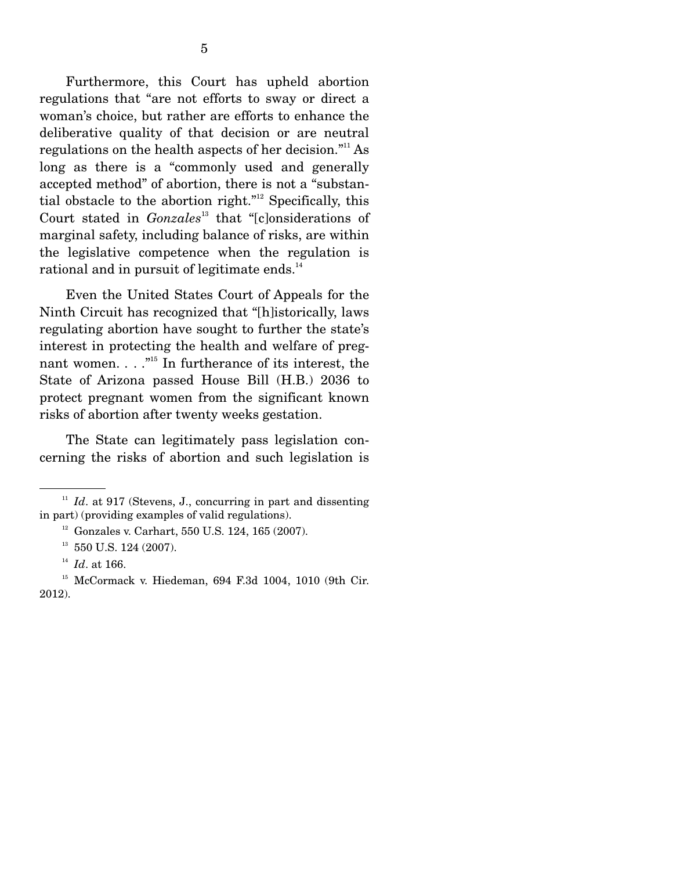Furthermore, this Court has upheld abortion regulations that "are not efforts to sway or direct a woman's choice, but rather are efforts to enhance the deliberative quality of that decision or are neutral regulations on the health aspects of her decision."<sup>11</sup> As long as there is a "commonly used and generally accepted method" of abortion, there is not a "substantial obstacle to the abortion right."<sup>12</sup> Specifically, this Court stated in *Gonzales*<sup>13</sup> that "[c]onsiderations of marginal safety, including balance of risks, are within the legislative competence when the regulation is rational and in pursuit of legitimate ends.<sup>14</sup>

 Even the United States Court of Appeals for the Ninth Circuit has recognized that "[h]istorically, laws regulating abortion have sought to further the state's interest in protecting the health and welfare of pregnant women.  $\ldots$ <sup>"15</sup> In furtherance of its interest, the State of Arizona passed House Bill (H.B.) 2036 to protect pregnant women from the significant known risks of abortion after twenty weeks gestation.

 The State can legitimately pass legislation concerning the risks of abortion and such legislation is

 $11$  *Id.* at 917 (Stevens, J., concurring in part and dissenting in part) (providing examples of valid regulations).

 $12$  Gonzales v. Carhart, 550 U.S. 124, 165 (2007).

 $13$  550 U.S. 124 (2007).

<sup>14</sup> *Id*. at 166.

<sup>15</sup> McCormack v. Hiedeman, 694 F.3d 1004, 1010 (9th Cir. 2012).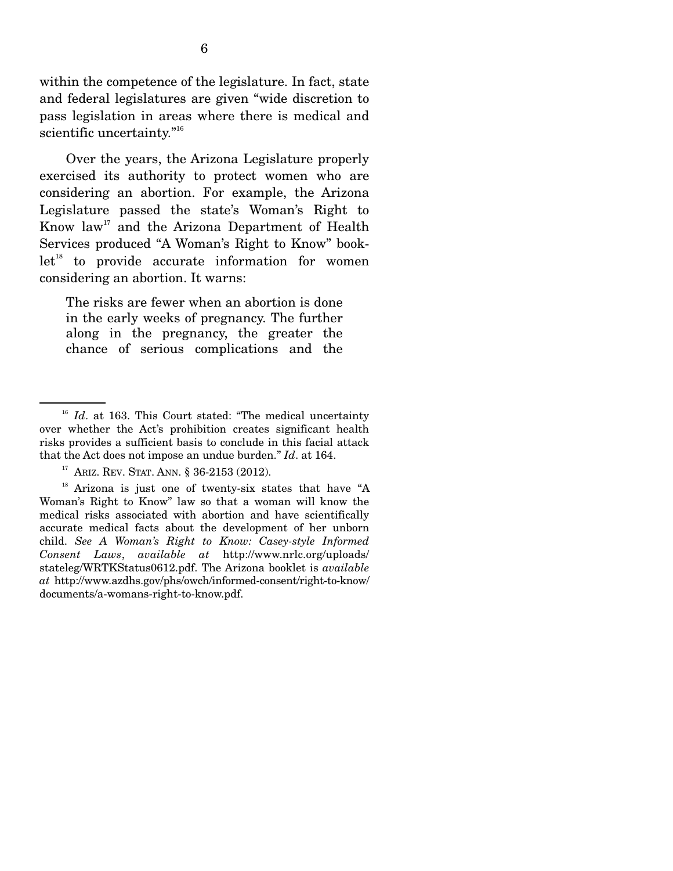within the competence of the legislature. In fact, state and federal legislatures are given "wide discretion to pass legislation in areas where there is medical and scientific uncertainty."<sup>16</sup>

 Over the years, the Arizona Legislature properly exercised its authority to protect women who are considering an abortion. For example, the Arizona Legislature passed the state's Woman's Right to Know  $law<sup>17</sup>$  and the Arizona Department of Health Services produced "A Woman's Right to Know" book $let<sup>18</sup>$  to provide accurate information for women considering an abortion. It warns:

The risks are fewer when an abortion is done in the early weeks of pregnancy. The further along in the pregnancy, the greater the chance of serious complications and the

<sup>&</sup>lt;sup>16</sup> *Id.* at 163. This Court stated: "The medical uncertainty over whether the Act's prohibition creates significant health risks provides a sufficient basis to conclude in this facial attack that the Act does not impose an undue burden." *Id*. at 164.

<sup>&</sup>lt;sup>17</sup> ARIZ. REV. STAT. ANN. § 36-2153 (2012).<br><sup>18</sup> Arizona is just one of twenty-six states that have "A Woman's Right to Know" law so that a woman will know the medical risks associated with abortion and have scientifically accurate medical facts about the development of her unborn child. *See A Woman's Right to Know: Casey-style Informed Consent Laws*, *available at* http://www.nrlc.org/uploads/ stateleg/WRTKStatus0612.pdf. The Arizona booklet is *available at* http://www.azdhs.gov/phs/owch/informed-consent/right-to-know/ documents/a-womans-right-to-know.pdf.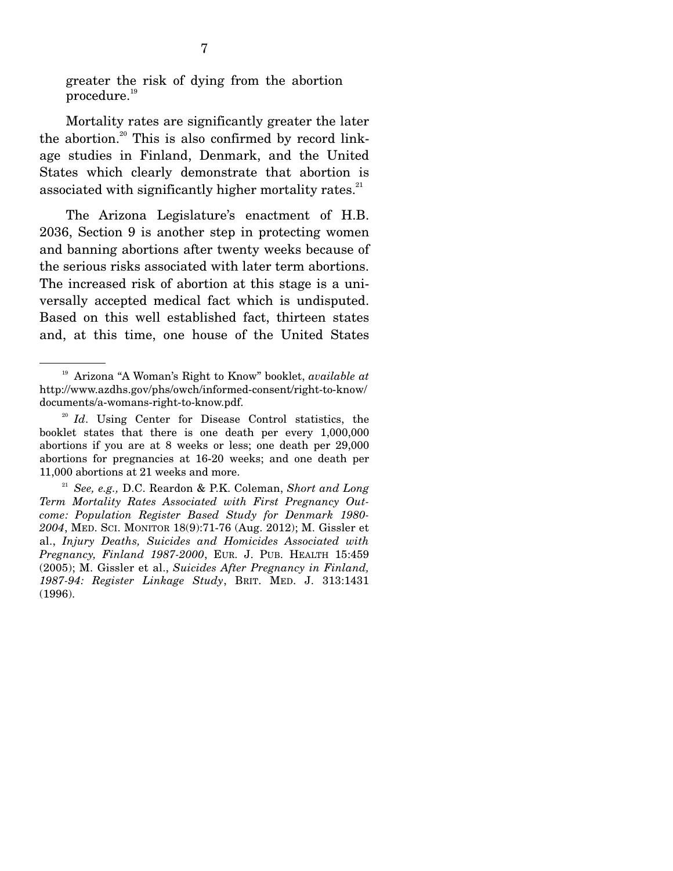greater the risk of dying from the abortion procedure.<sup>19</sup>

 Mortality rates are significantly greater the later the abortion.<sup>20</sup> This is also confirmed by record linkage studies in Finland, Denmark, and the United States which clearly demonstrate that abortion is associated with significantly higher mortality rates. $21$ 

 The Arizona Legislature's enactment of H.B. 2036, Section 9 is another step in protecting women and banning abortions after twenty weeks because of the serious risks associated with later term abortions. The increased risk of abortion at this stage is a universally accepted medical fact which is undisputed. Based on this well established fact, thirteen states and, at this time, one house of the United States

<sup>19</sup> Arizona "A Woman's Right to Know" booklet, *available at* http://www.azdhs.gov/phs/owch/informed-consent/right-to-know/ documents/a-womans-right-to-know.pdf.

<sup>&</sup>lt;sup>20</sup> *Id*. Using Center for Disease Control statistics, the booklet states that there is one death per every 1,000,000 abortions if you are at 8 weeks or less; one death per 29,000 abortions for pregnancies at 16-20 weeks; and one death per 11,000 abortions at 21 weeks and more.

<sup>21</sup> *See, e.g.,* D.C. Reardon & P.K. Coleman, *Short and Long Term Mortality Rates Associated with First Pregnancy Outcome: Population Register Based Study for Denmark 1980- 2004*, MED. SCI. MONITOR 18(9):71-76 (Aug. 2012); M. Gissler et al., *Injury Deaths, Suicides and Homicides Associated with Pregnancy, Finland 1987-2000*, EUR. J. PUB. HEALTH 15:459 (2005); M. Gissler et al., *Suicides After Pregnancy in Finland, 1987-94: Register Linkage Study*, BRIT. MED. J. 313:1431 (1996).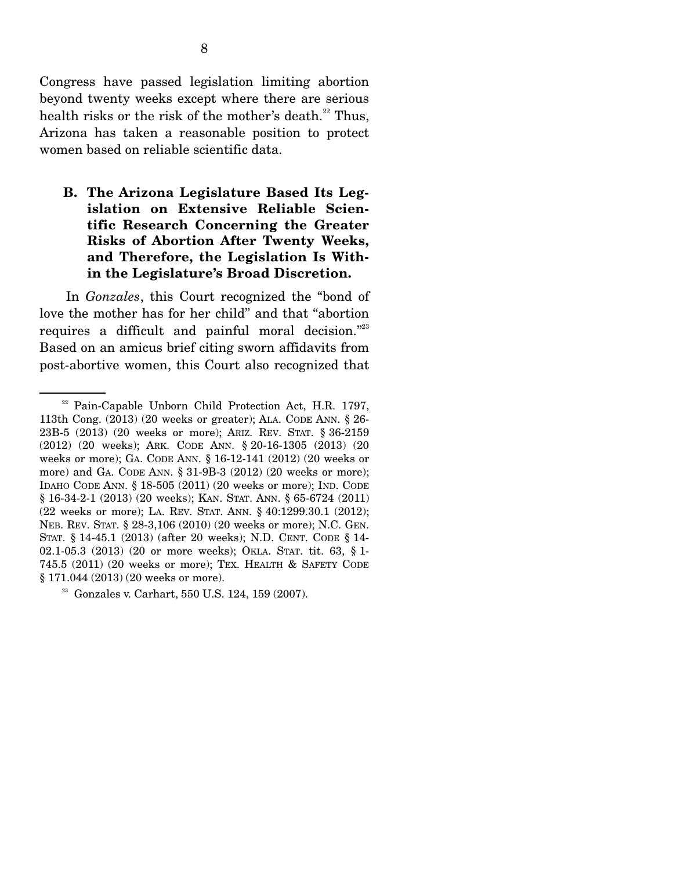Congress have passed legislation limiting abortion beyond twenty weeks except where there are serious health risks or the risk of the mother's death. $^{22}$  Thus, Arizona has taken a reasonable position to protect women based on reliable scientific data.

**B. The Arizona Legislature Based Its Legislation on Extensive Reliable Scientific Research Concerning the Greater Risks of Abortion After Twenty Weeks, and Therefore, the Legislation Is Within the Legislature's Broad Discretion.** 

 In *Gonzales*, this Court recognized the "bond of love the mother has for her child" and that "abortion requires a difficult and painful moral decision."<sup>23</sup> Based on an amicus brief citing sworn affidavits from post-abortive women, this Court also recognized that

<sup>&</sup>lt;sup>22</sup> Pain-Capable Unborn Child Protection Act, H.R. 1797, 113th Cong. (2013) (20 weeks or greater); ALA. CODE ANN. § 26- 23B-5 (2013) (20 weeks or more); ARIZ. REV. STAT. § 36-2159 (2012) (20 weeks); ARK. CODE ANN. § 20-16-1305 (2013) (20 weeks or more); GA. CODE ANN. § 16-12-141 (2012) (20 weeks or more) and GA. CODE ANN. § 31-9B-3 (2012) (20 weeks or more); IDAHO CODE ANN. § 18-505 (2011) (20 weeks or more); IND. CODE § 16-34-2-1 (2013) (20 weeks); KAN. STAT. ANN. § 65-6724 (2011) (22 weeks or more); LA. REV. STAT. ANN. § 40:1299.30.1 (2012); NEB. REV. STAT. § 28-3,106 (2010) (20 weeks or more); N.C. GEN. STAT. § 14-45.1 (2013) (after 20 weeks); N.D. CENT. CODE § 14- 02.1-05.3 (2013) (20 or more weeks); OKLA. STAT. tit. 63, § 1- 745.5 (2011) (20 weeks or more); TEX. HEALTH & SAFETY CODE § 171.044 (2013) (20 weeks or more).

<sup>23</sup> Gonzales v. Carhart, 550 U.S. 124, 159 (2007).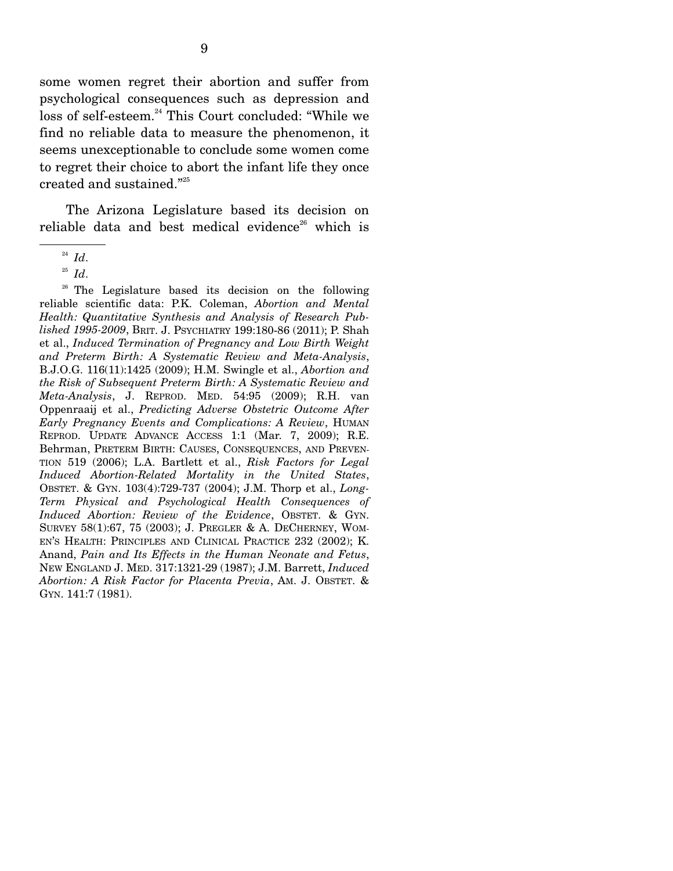some women regret their abortion and suffer from psychological consequences such as depression and loss of self-esteem.<sup>24</sup> This Court concluded: "While we find no reliable data to measure the phenomenon, it seems unexceptionable to conclude some women come to regret their choice to abort the infant life they once created and sustained."25

 The Arizona Legislature based its decision on reliable data and best medical evidence<sup>26</sup> which is

<sup>26</sup> The Legislature based its decision on the following reliable scientific data: P.K. Coleman, *Abortion and Mental Health: Quantitative Synthesis and Analysis of Research Published 1995-2009*, BRIT. J. PSYCHIATRY 199:180-86 (2011); P. Shah et al., *Induced Termination of Pregnancy and Low Birth Weight and Preterm Birth: A Systematic Review and Meta-Analysis*, B.J.O.G. 116(11):1425 (2009); H.M. Swingle et al., *Abortion and the Risk of Subsequent Preterm Birth: A Systematic Review and Meta-Analysis*, J. REPROD. MED. 54:95 (2009); R.H. van Oppenraaij et al., *Predicting Adverse Obstetric Outcome After Early Pregnancy Events and Complications: A Review*, HUMAN REPROD. UPDATE ADVANCE ACCESS 1:1 (Mar. 7, 2009); R.E. Behrman, PRETERM BIRTH: CAUSES, CONSEQUENCES, AND PREVEN-TION 519 (2006); L.A. Bartlett et al., *Risk Factors for Legal Induced Abortion-Related Mortality in the United States*, OBSTET. & GYN. 103(4):729-737 (2004); J.M. Thorp et al., *Long-Term Physical and Psychological Health Consequences of Induced Abortion: Review of the Evidence*, OBSTET. & GYN. SURVEY 58(1):67, 75 (2003); J. PREGLER & A. DECHERNEY, WOM-EN'S HEALTH: PRINCIPLES AND CLINICAL PRACTICE 232 (2002); K. Anand, *Pain and Its Effects in the Human Neonate and Fetus*, NEW ENGLAND J. MED. 317:1321-29 (1987); J.M. Barrett, *Induced Abortion: A Risk Factor for Placenta Previa*, AM. J. OBSTET. & GYN. 141:7 (1981).

<sup>24</sup> *Id*.

<sup>25</sup> *Id*.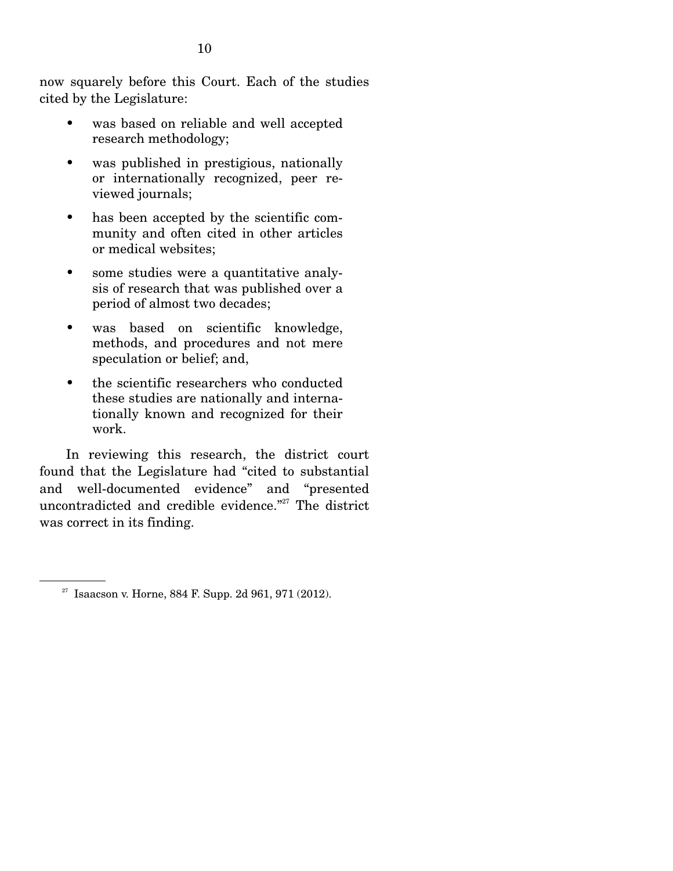now squarely before this Court. Each of the studies cited by the Legislature:

- was based on reliable and well accepted research methodology;
- was published in prestigious, nationally or internationally recognized, peer reviewed journals;
- has been accepted by the scientific community and often cited in other articles or medical websites;
- some studies were a quantitative analysis of research that was published over a period of almost two decades;
- was based on scientific knowledge, methods, and procedures and not mere speculation or belief; and,
- the scientific researchers who conducted these studies are nationally and internationally known and recognized for their work.

 In reviewing this research, the district court found that the Legislature had "cited to substantial and well-documented evidence" and "presented uncontradicted and credible evidence."<sup>27</sup> The district was correct in its finding.

 $27$  Isaacson v. Horne, 884 F. Supp. 2d 961, 971 (2012).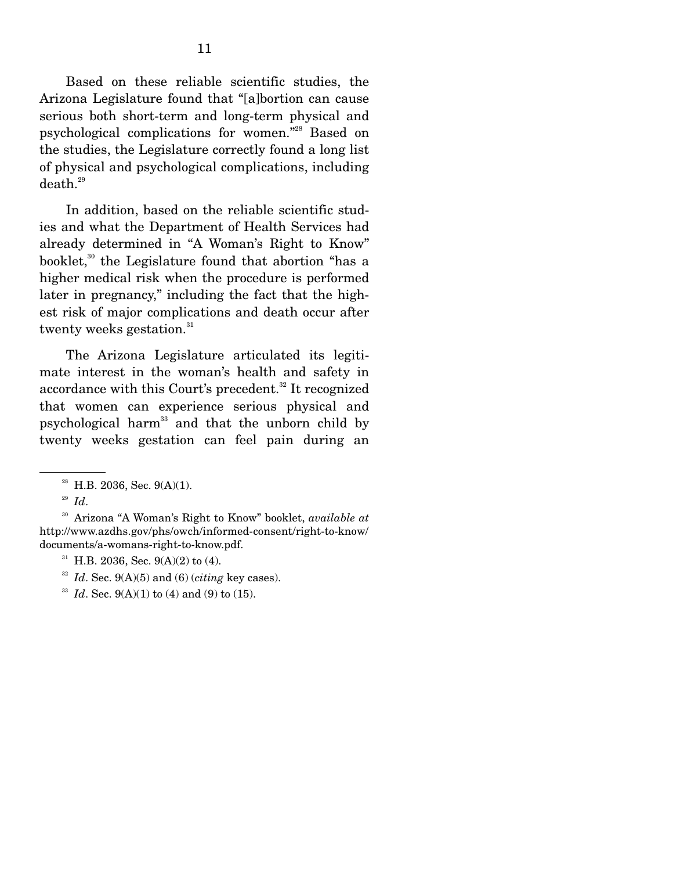Based on these reliable scientific studies, the Arizona Legislature found that "[a]bortion can cause serious both short-term and long-term physical and psychological complications for women."28 Based on the studies, the Legislature correctly found a long list of physical and psychological complications, including  $death.<sup>29</sup>$ 

 In addition, based on the reliable scientific studies and what the Department of Health Services had already determined in "A Woman's Right to Know" booklet, $30$  the Legislature found that abortion "has a higher medical risk when the procedure is performed later in pregnancy," including the fact that the highest risk of major complications and death occur after twenty weeks gestation. $31$ 

 The Arizona Legislature articulated its legitimate interest in the woman's health and safety in accordance with this Court's precedent.<sup>32</sup> It recognized that women can experience serious physical and psychological harm<sup>33</sup> and that the unborn child by twenty weeks gestation can feel pain during an

30 Arizona "A Woman's Right to Know" booklet, *available at* http://www.azdhs.gov/phs/owch/informed-consent/right-to-know/ documents/a-womans-right-to-know.pdf.

- $31$  H.B. 2036, Sec. 9(A)(2) to (4).
- <sup>32</sup> *Id.* Sec. 9(A)(5) and (6) (*citing* key cases).<br><sup>33</sup> *Id.* Sec. 9(A)(1) to (4) and (9) to (15).
- 

 $28$  H.B. 2036, Sec. 9(A)(1).

<sup>29</sup> *Id*.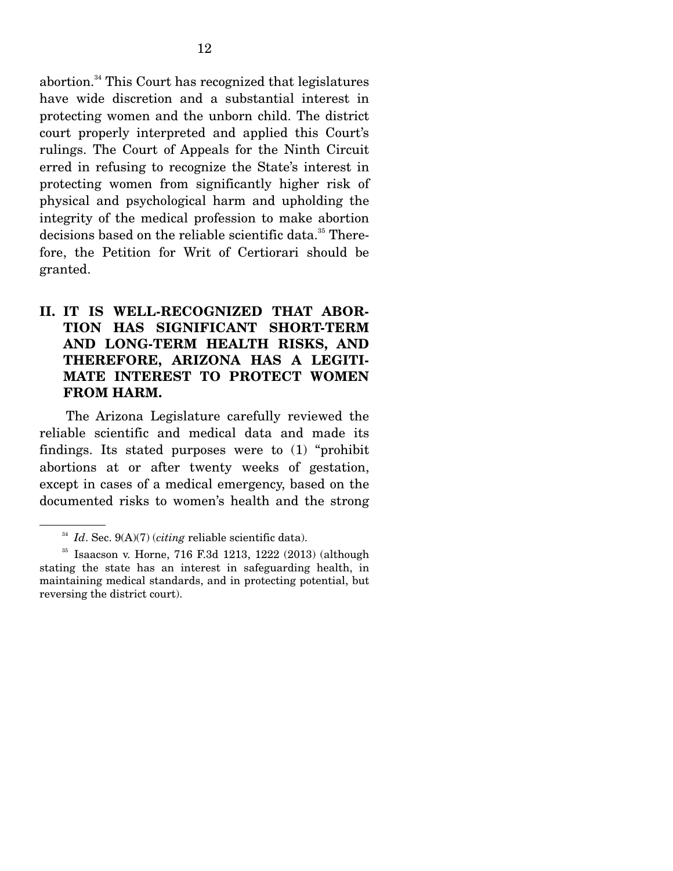abortion.34 This Court has recognized that legislatures have wide discretion and a substantial interest in protecting women and the unborn child. The district court properly interpreted and applied this Court's rulings. The Court of Appeals for the Ninth Circuit erred in refusing to recognize the State's interest in protecting women from significantly higher risk of physical and psychological harm and upholding the integrity of the medical profession to make abortion decisions based on the reliable scientific data.<sup>35</sup> Therefore, the Petition for Writ of Certiorari should be granted.

### **II. IT IS WELL-RECOGNIZED THAT ABOR-TION HAS SIGNIFICANT SHORT-TERM AND LONG-TERM HEALTH RISKS, AND THEREFORE, ARIZONA HAS A LEGITI-MATE INTEREST TO PROTECT WOMEN FROM HARM.**

 The Arizona Legislature carefully reviewed the reliable scientific and medical data and made its findings. Its stated purposes were to (1) "prohibit abortions at or after twenty weeks of gestation, except in cases of a medical emergency, based on the documented risks to women's health and the strong

<sup>34</sup> *Id*. Sec. 9(A)(7) (*citing* reliable scientific data).

<sup>35</sup> Isaacson v. Horne, 716 F.3d 1213, 1222 (2013) (although stating the state has an interest in safeguarding health, in maintaining medical standards, and in protecting potential, but reversing the district court).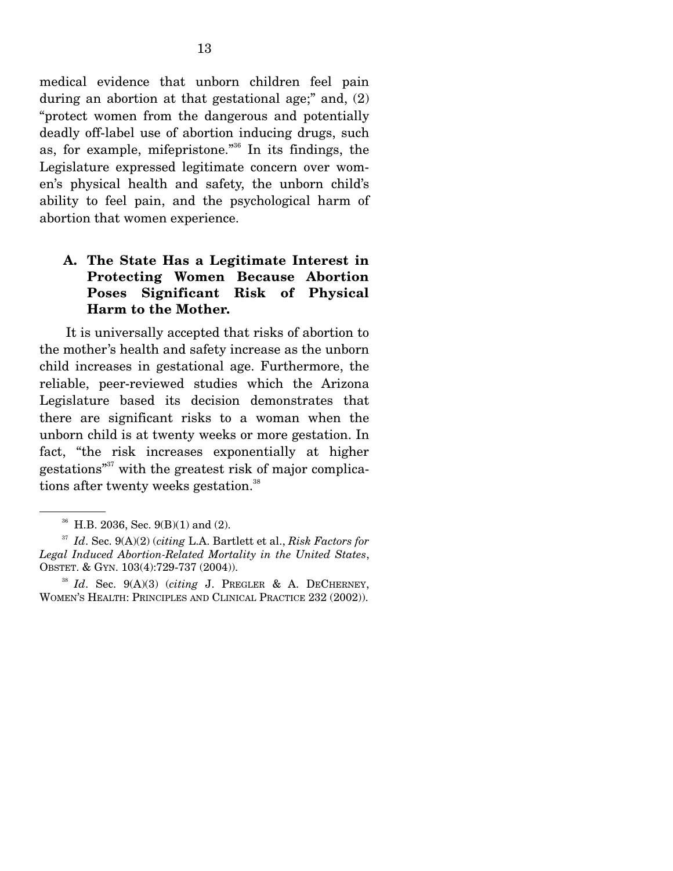medical evidence that unborn children feel pain during an abortion at that gestational age;" and, (2) "protect women from the dangerous and potentially deadly off-label use of abortion inducing drugs, such as, for example, mifepristone."36 In its findings, the Legislature expressed legitimate concern over women's physical health and safety, the unborn child's ability to feel pain, and the psychological harm of abortion that women experience.

### **A. The State Has a Legitimate Interest in Protecting Women Because Abortion Poses Significant Risk of Physical Harm to the Mother.**

 It is universally accepted that risks of abortion to the mother's health and safety increase as the unborn child increases in gestational age. Furthermore, the reliable, peer-reviewed studies which the Arizona Legislature based its decision demonstrates that there are significant risks to a woman when the unborn child is at twenty weeks or more gestation. In fact, "the risk increases exponentially at higher gestations<sup>"37</sup> with the greatest risk of major complications after twenty weeks gestation.<sup>38</sup>

 $36$  H.B. 2036, Sec. 9(B)(1) and (2).

<sup>37</sup> *Id*. Sec. 9(A)(2) (*citing* L.A. Bartlett et al., *Risk Factors for Legal Induced Abortion-Related Mortality in the United States*, OBSTET. & GYN. 103(4):729-737 (2004)). 38 *Id*. Sec. 9(A)(3) (*citing* J. PREGLER & A. DECHERNEY,

WOMEN'S HEALTH: PRINCIPLES AND CLINICAL PRACTICE 232 (2002)).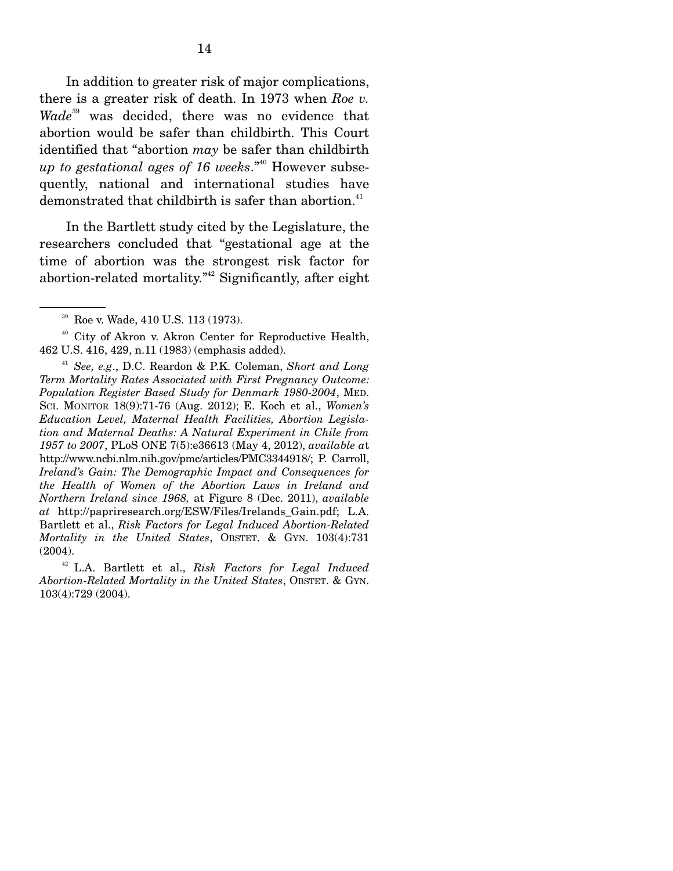In addition to greater risk of major complications, there is a greater risk of death. In 1973 when *Roe v. Wade*39 was decided, there was no evidence that abortion would be safer than childbirth. This Court identified that "abortion *may* be safer than childbirth *up to gestational ages of 16 weeks*."40 However subsequently, national and international studies have demonstrated that childbirth is safer than abortion.<sup>41</sup>

 In the Bartlett study cited by the Legislature, the researchers concluded that "gestational age at the time of abortion was the strongest risk factor for abortion-related mortality."<sup>42</sup> Significantly, after eight

<sup>&</sup>lt;sup>39</sup> Roe v. Wade, 410 U.S. 113 (1973).

<sup>40</sup> City of Akron v. Akron Center for Reproductive Health, 462 U.S. 416, 429, n.11 (1983) (emphasis added).

<sup>41</sup> *See, e.g*., D.C. Reardon & P.K. Coleman, *Short and Long Term Mortality Rates Associated with First Pregnancy Outcome: Population Register Based Study for Denmark 1980-2004*, MED. SCI. MONITOR 18(9):71-76 (Aug. 2012); E. Koch et al., *Women's Education Level, Maternal Health Facilities, Abortion Legislation and Maternal Deaths: A Natural Experiment in Chile from 1957 to 2007*, PLoS ONE 7(5):e36613 (May 4, 2012), *available a*t http://www.ncbi.nlm.nih.gov/pmc/articles/PMC3344918/; P. Carroll, *Ireland's Gain: The Demographic Impact and Consequences for the Health of Women of the Abortion Laws in Ireland and Northern Ireland since 1968,* at Figure 8 (Dec. 2011), *available at* http://papriresearch.org/ESW/Files/Irelands\_Gain.pdf; L.A. Bartlett et al., *Risk Factors for Legal Induced Abortion-Related Mortality in the United States*, OBSTET. & GYN. 103(4):731 (2004).

<sup>42</sup> L.A. Bartlett et al., *Risk Factors for Legal Induced Abortion-Related Mortality in the United States*, OBSTET. & GYN. 103(4):729 (2004).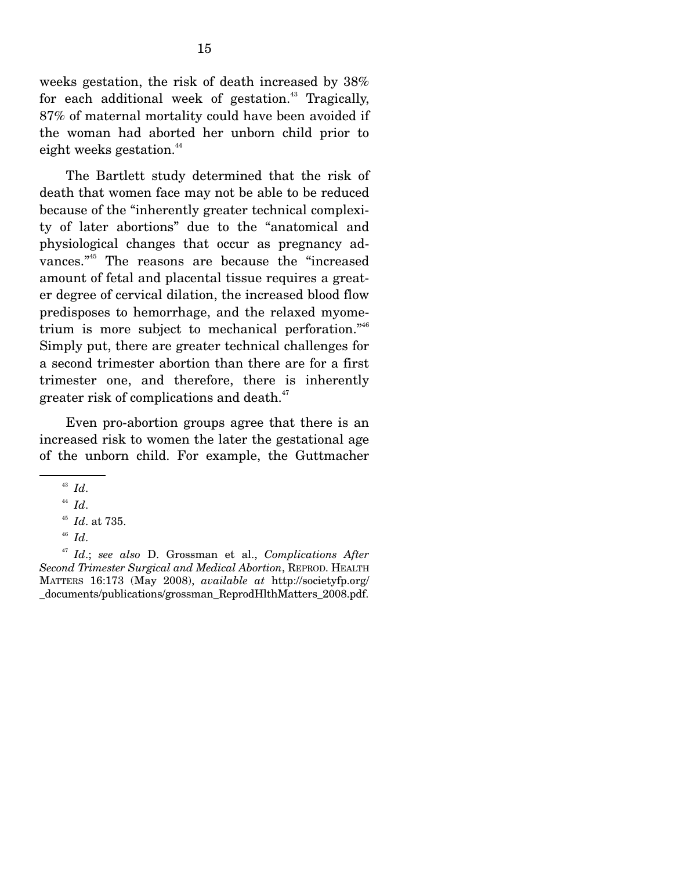weeks gestation, the risk of death increased by 38% for each additional week of gestation.<sup>43</sup> Tragically, 87% of maternal mortality could have been avoided if the woman had aborted her unborn child prior to eight weeks gestation.<sup>44</sup>

 The Bartlett study determined that the risk of death that women face may not be able to be reduced because of the "inherently greater technical complexity of later abortions" due to the "anatomical and physiological changes that occur as pregnancy advances."45 The reasons are because the "increased amount of fetal and placental tissue requires a greater degree of cervical dilation, the increased blood flow predisposes to hemorrhage, and the relaxed myometrium is more subject to mechanical perforation."<sup>46</sup> Simply put, there are greater technical challenges for a second trimester abortion than there are for a first trimester one, and therefore, there is inherently greater risk of complications and death.<sup>47</sup>

 Even pro-abortion groups agree that there is an increased risk to women the later the gestational age of the unborn child. For example, the Guttmacher

<sup>43</sup> *Id*.

 $^{44}$  *Id.* 

<sup>45</sup> *Id*. at 735.

<sup>46</sup> *Id*.

<sup>47</sup> *Id*.; *see also* D. Grossman et al., *Complications After Second Trimester Surgical and Medical Abortion*, REPROD. HEALTH MATTERS 16:173 (May 2008), *available at* http://societyfp.org/ \_documents/publications/grossman\_ReprodHlthMatters\_2008.pdf.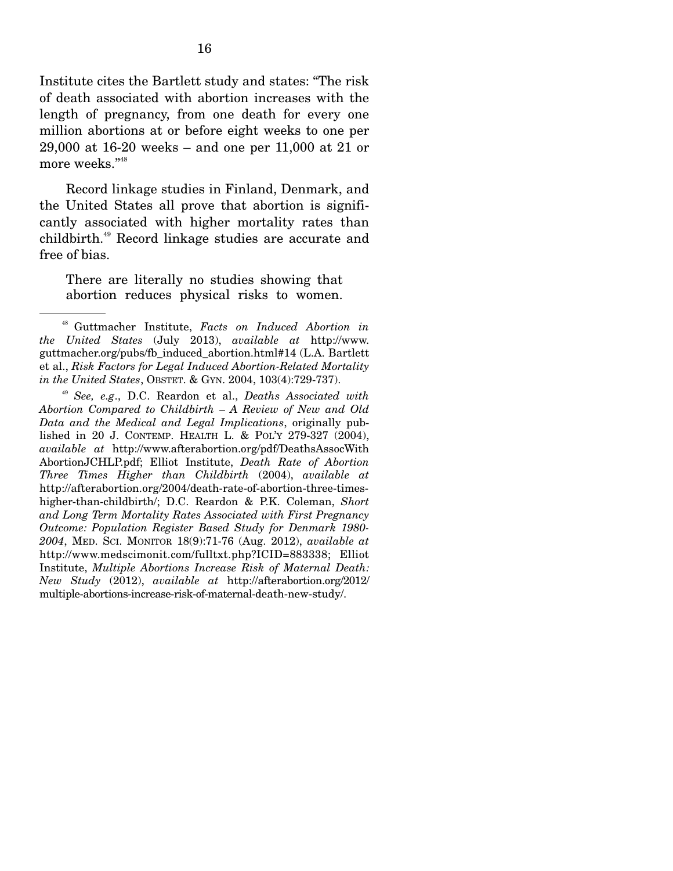Institute cites the Bartlett study and states: "The risk of death associated with abortion increases with the length of pregnancy, from one death for every one million abortions at or before eight weeks to one per 29,000 at 16-20 weeks – and one per 11,000 at 21 or more weeks."<sup>48</sup>

 Record linkage studies in Finland, Denmark, and the United States all prove that abortion is significantly associated with higher mortality rates than childbirth.49 Record linkage studies are accurate and free of bias.

There are literally no studies showing that abortion reduces physical risks to women.

<sup>49</sup> *See, e.g*., D.C. Reardon et al., *Deaths Associated with Abortion Compared to Childbirth – A Review of New and Old Data and the Medical and Legal Implications*, originally published in 20 J. CONTEMP. HEALTH L. & POL'Y 279-327 (2004), *available at* http://www.afterabortion.org/pdf/DeathsAssocWith AbortionJCHLP.pdf; Elliot Institute, *Death Rate of Abortion Three Times Higher than Childbirth* (2004), *available at* http://afterabortion.org/2004/death-rate-of-abortion-three-timeshigher-than-childbirth/; D.C. Reardon & P.K. Coleman, *Short and Long Term Mortality Rates Associated with First Pregnancy Outcome: Population Register Based Study for Denmark 1980- 2004*, MED. SCI. MONITOR 18(9):71-76 (Aug. 2012), *available at* http://www.medscimonit.com/fulltxt.php?ICID=883338; Elliot Institute, *Multiple Abortions Increase Risk of Maternal Death: New Study* (2012), *available at* http://afterabortion.org/2012/ multiple-abortions-increase-risk-of-maternal-death-new-study/.

<sup>48</sup> Guttmacher Institute, *Facts on Induced Abortion in the United States* (July 2013), *available at* http://www. guttmacher.org/pubs/fb\_induced\_abortion.html#14 (L.A. Bartlett et al., *Risk Factors for Legal Induced Abortion-Related Mortality in the United States*, OBSTET. & GYN. 2004, 103(4):729-737).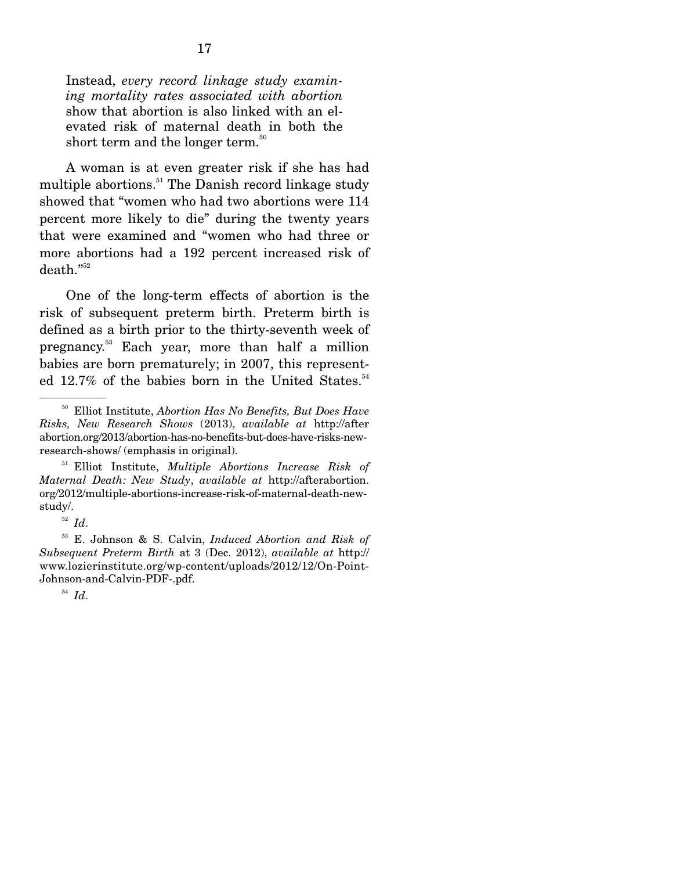Instead, *every record linkage study examining mortality rates associated with abortion* show that abortion is also linked with an elevated risk of maternal death in both the short term and the longer term.<sup>50</sup>

 A woman is at even greater risk if she has had multiple abortions.<sup>51</sup> The Danish record linkage study showed that "women who had two abortions were 114 percent more likely to die" during the twenty years that were examined and "women who had three or more abortions had a 192 percent increased risk of death."52

 One of the long-term effects of abortion is the risk of subsequent preterm birth. Preterm birth is defined as a birth prior to the thirty-seventh week of pregnancy.53 Each year, more than half a million babies are born prematurely; in 2007, this represented 12.7% of the babies born in the United States.<sup>54</sup>

51 Elliot Institute, *Multiple Abortions Increase Risk of Maternal Death: New Study*, *available at* http://afterabortion. org/2012/multiple-abortions-increase-risk-of-maternal-death-newstudy/.

<sup>52</sup> *Id*.

53 E. Johnson & S. Calvin, *Induced Abortion and Risk of Subsequent Preterm Birth* at 3 (Dec. 2012), *available at* http:// www.lozierinstitute.org/wp-content/uploads/2012/12/On-Point-Johnson-and-Calvin-PDF-.pdf.

<sup>54</sup> *Id*.

<sup>50</sup> Elliot Institute, *Abortion Has No Benefits, But Does Have Risks, New Research Shows* (2013), *available at* http://after abortion.org/2013/abortion-has-no-benefits-but-does-have-risks-newresearch-shows/ (emphasis in original).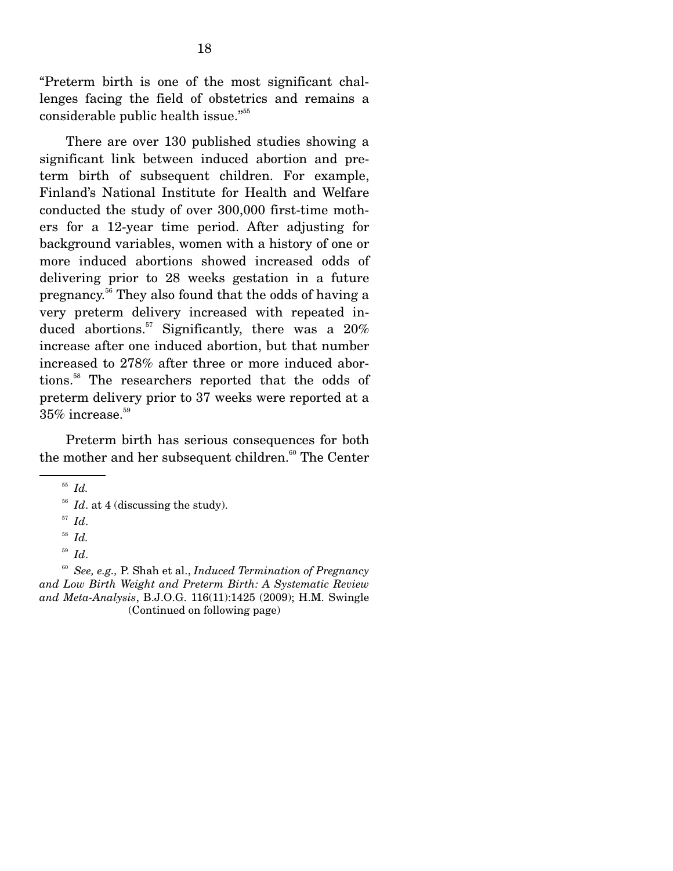"Preterm birth is one of the most significant challenges facing the field of obstetrics and remains a considerable public health issue."55

 There are over 130 published studies showing a significant link between induced abortion and preterm birth of subsequent children. For example, Finland's National Institute for Health and Welfare conducted the study of over 300,000 first-time mothers for a 12-year time period. After adjusting for background variables, women with a history of one or more induced abortions showed increased odds of delivering prior to 28 weeks gestation in a future pregnancy.56 They also found that the odds of having a very preterm delivery increased with repeated induced abortions.<sup>57</sup> Significantly, there was a  $20\%$ increase after one induced abortion, but that number increased to 278% after three or more induced abortions.58 The researchers reported that the odds of preterm delivery prior to 37 weeks were reported at a  $35\%$  increase.<sup>59</sup>

 Preterm birth has serious consequences for both the mother and her subsequent children.<sup>60</sup> The Center

<sup>55</sup> *Id.*

<sup>&</sup>lt;sup>56</sup> *Id.* at 4 (discussing the study).

<sup>57</sup> *Id*.

<sup>58</sup> *Id.*

<sup>59</sup> *Id*.

<sup>60</sup> *See, e.g.,* P. Shah et al., *Induced Termination of Pregnancy and Low Birth Weight and Preterm Birth: A Systematic Review and Meta-Analysis*, B.J.O.G. 116(11):1425 (2009); H.M. Swingle (Continued on following page)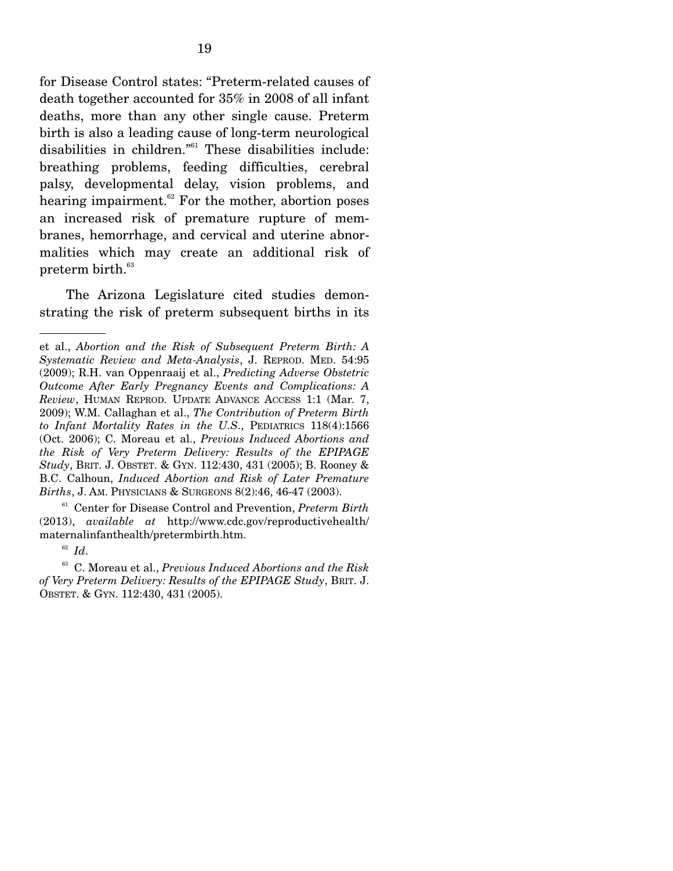for Disease Control states: "Preterm-related causes of death together accounted for 35% in 2008 of all infant deaths, more than any other single cause. Preterm birth is also a leading cause of long-term neurological disabilities in children."<sup>61</sup> These disabilities include: breathing problems, feeding difficulties, cerebral palsy, developmental delay, vision problems, and hearing impairment. $62$  For the mother, abortion poses an increased risk of premature rupture of membranes, hemorrhage, and cervical and uterine abnormalities which may create an additional risk of  $\rm{preterm}\; \rm{birth.}^{\rm 63}$ 

 The Arizona Legislature cited studies demonstrating the risk of preterm subsequent births in its

61 Center for Disease Control and Prevention, *Preterm Birth* (2013), *available at* http://www.cdc.gov/reproductivehealth/ maternalinfanthealth/pretermbirth.htm.

<sup>62</sup> *Id*.

63 C. Moreau et al., *Previous Induced Abortions and the Risk of Very Preterm Delivery: Results of the EPIPAGE Study*, BRIT. J. OBSTET. & GYN. 112:430, 431 (2005).

et al., *Abortion and the Risk of Subsequent Preterm Birth: A Systematic Review and Meta-Analysis*, J. REPROD. MED. 54:95 (2009); R.H. van Oppenraaij et al., *Predicting Adverse Obstetric Outcome After Early Pregnancy Events and Complications: A Review*, HUMAN REPROD. UPDATE ADVANCE ACCESS 1:1 (Mar. 7, 2009); W.M. Callaghan et al., *The Contribution of Preterm Birth to Infant Mortality Rates in the U.S*., PEDIATRICS 118(4):1566 (Oct. 2006); C. Moreau et al., *Previous Induced Abortions and the Risk of Very Preterm Delivery: Results of the EPIPAGE Study*, BRIT. J. OBSTET. & GYN. 112:430, 431 (2005); B. Rooney & B.C. Calhoun, *Induced Abortion and Risk of Later Premature Births*, J. AM. PHYSICIANS & SURGEONS 8(2):46, 46-47 (2003).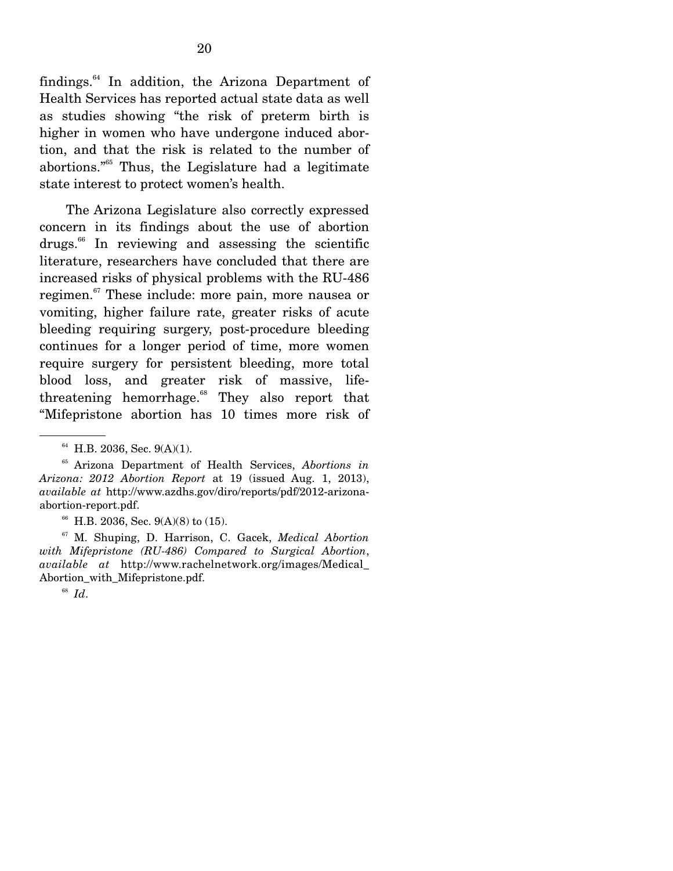findings.64 In addition, the Arizona Department of Health Services has reported actual state data as well as studies showing "the risk of preterm birth is higher in women who have undergone induced abortion, and that the risk is related to the number of abortions."65 Thus, the Legislature had a legitimate state interest to protect women's health.

 The Arizona Legislature also correctly expressed concern in its findings about the use of abortion drugs.66 In reviewing and assessing the scientific literature, researchers have concluded that there are increased risks of physical problems with the RU-486 regimen.<sup>67</sup> These include: more pain, more nausea or vomiting, higher failure rate, greater risks of acute bleeding requiring surgery, post-procedure bleeding continues for a longer period of time, more women require surgery for persistent bleeding, more total blood loss, and greater risk of massive, lifethreatening hemorrhage.<sup>68</sup> They also report that "Mifepristone abortion has 10 times more risk of

67 M. Shuping, D. Harrison, C. Gacek, *Medical Abortion with Mifepristone (RU-486) Compared to Surgical Abortion*, *available at* http://www.rachelnetwork.org/images/Medical\_ Abortion with Mifepristone.pdf.

<sup>68</sup> *Id*.

 $64$  H.B. 2036, Sec. 9(A)(1).

<sup>65</sup> Arizona Department of Health Services, *Abortions in Arizona: 2012 Abortion Report* at 19 (issued Aug. 1, 2013), *available at* http://www.azdhs.gov/diro/reports/pdf/2012-arizonaabortion-report.pdf.

<sup>&</sup>lt;sup>66</sup> H.B. 2036, Sec. 9(A)(8) to (15).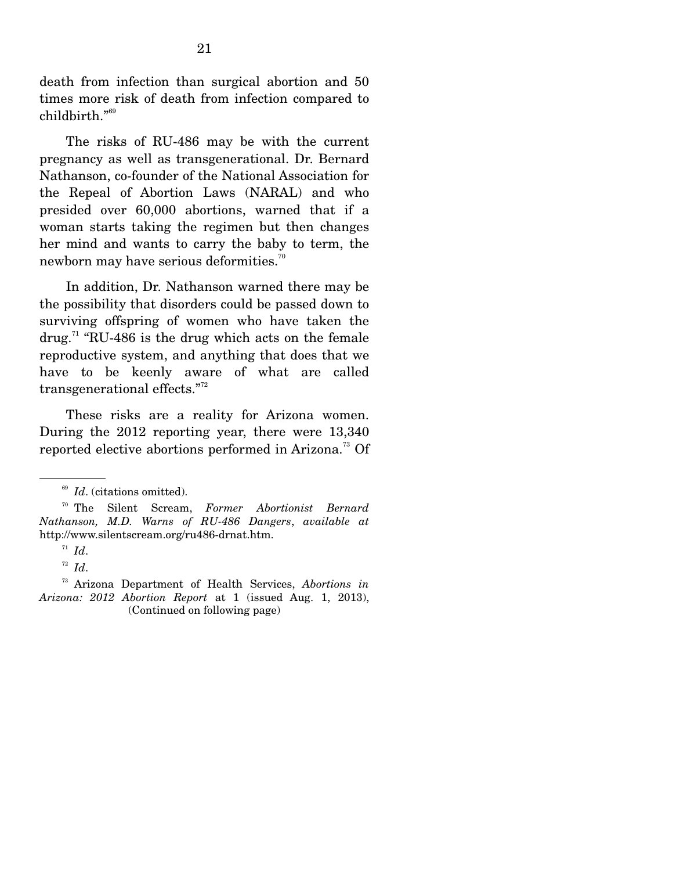death from infection than surgical abortion and 50 times more risk of death from infection compared to childbirth."<sup>69</sup>

 The risks of RU-486 may be with the current pregnancy as well as transgenerational. Dr. Bernard Nathanson, co-founder of the National Association for the Repeal of Abortion Laws (NARAL) and who presided over 60,000 abortions, warned that if a woman starts taking the regimen but then changes her mind and wants to carry the baby to term, the newborn may have serious deformities.<sup>70</sup>

 In addition, Dr. Nathanson warned there may be the possibility that disorders could be passed down to surviving offspring of women who have taken the drug.<sup>71</sup> "RU-486 is the drug which acts on the female reproductive system, and anything that does that we have to be keenly aware of what are called transgenerational effects."<sup>72</sup>

 These risks are a reality for Arizona women. During the 2012 reporting year, there were 13,340 reported elective abortions performed in Arizona.73 Of

<sup>&</sup>lt;sup>69</sup> *Id.* (citations omitted).

<sup>70</sup> The Silent Scream, *Former Abortionist Bernard Nathanson, M.D. Warns of RU-486 Dangers*, *available at* http://www.silentscream.org/ru486-drnat.htm.

 $I^1$  *Id.* 

<sup>72</sup> *Id*.

<sup>73</sup> Arizona Department of Health Services, *Abortions in Arizona: 2012 Abortion Report* at 1 (issued Aug. 1, 2013), (Continued on following page)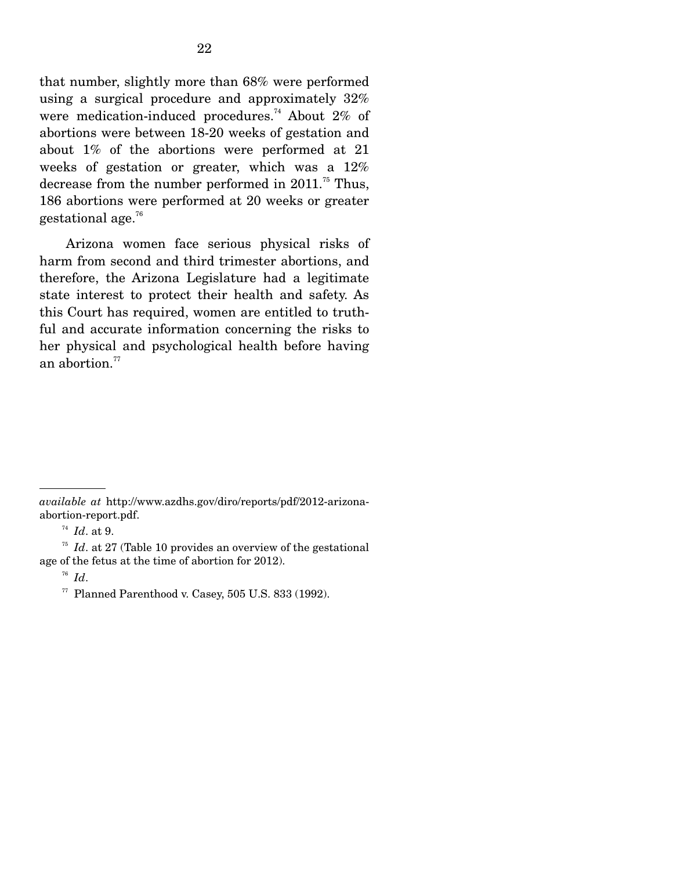that number, slightly more than 68% were performed using a surgical procedure and approximately 32% were medication-induced procedures.<sup>74</sup> About 2% of abortions were between 18-20 weeks of gestation and about 1% of the abortions were performed at 21 weeks of gestation or greater, which was a 12% decrease from the number performed in  $2011$ .<sup>75</sup> Thus, 186 abortions were performed at 20 weeks or greater gestational age.76

 Arizona women face serious physical risks of harm from second and third trimester abortions, and therefore, the Arizona Legislature had a legitimate state interest to protect their health and safety. As this Court has required, women are entitled to truthful and accurate information concerning the risks to her physical and psychological health before having an abortion. $77$ 

*available at* http://www.azdhs.gov/diro/reports/pdf/2012-arizonaabortion-report.pdf.

<sup>&</sup>lt;sup>74</sup> *Id.* at 9.  $75$  *Id.* at 27 (Table 10 provides an overview of the gestational age of the fetus at the time of abortion for 2012).

<sup>76</sup> *Id*. 77 Planned Parenthood v. Casey, 505 U.S. 833 (1992).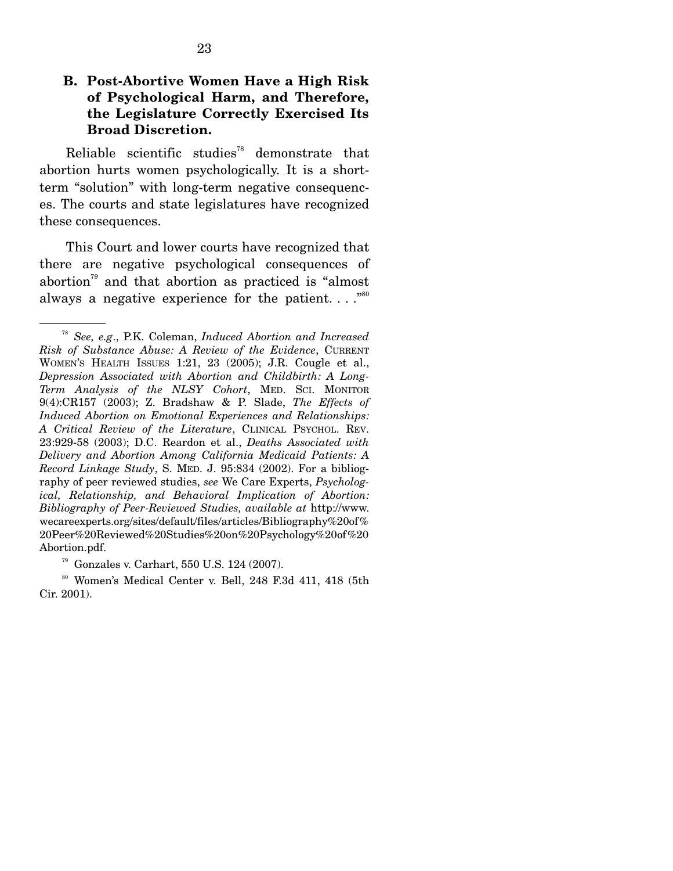Reliable scientific studies<sup>78</sup> demonstrate that abortion hurts women psychologically. It is a shortterm "solution" with long-term negative consequences. The courts and state legislatures have recognized these consequences.

 This Court and lower courts have recognized that there are negative psychological consequences of abortion<sup>79</sup> and that abortion as practiced is "almost" always a negative experience for the patient.  $\ldots$ <sup>80</sup>

<sup>78</sup> *See, e.g*., P.K. Coleman, *Induced Abortion and Increased Risk of Substance Abuse: A Review of the Evidence*, CURRENT WOMEN'S HEALTH ISSUES 1:21, 23 (2005); J.R. Cougle et al., *Depression Associated with Abortion and Childbirth: A Long-Term Analysis of the NLSY Cohort*, MED. SCI. MONITOR 9(4):CR157 (2003); Z. Bradshaw & P. Slade, *The Effects of Induced Abortion on Emotional Experiences and Relationships: A Critical Review of the Literature*, CLINICAL PSYCHOL. REV. 23:929-58 (2003); D.C. Reardon et al., *Deaths Associated with Delivery and Abortion Among California Medicaid Patients: A Record Linkage Study*, S. MED. J. 95:834 (2002). For a bibliography of peer reviewed studies, *see* We Care Experts, *Psychological, Relationship, and Behavioral Implication of Abortion: Bibliography of Peer-Reviewed Studies, available at* http://www. wecareexperts.org/sites/default/files/articles/Bibliography%20of% 20Peer%20Reviewed%20Studies%20on%20Psychology%20of%20 Abortion.pdf.

 $79$  Gonzales v. Carhart, 550 U.S. 124 (2007).

<sup>80</sup> Women's Medical Center v. Bell, 248 F.3d 411, 418 (5th Cir. 2001).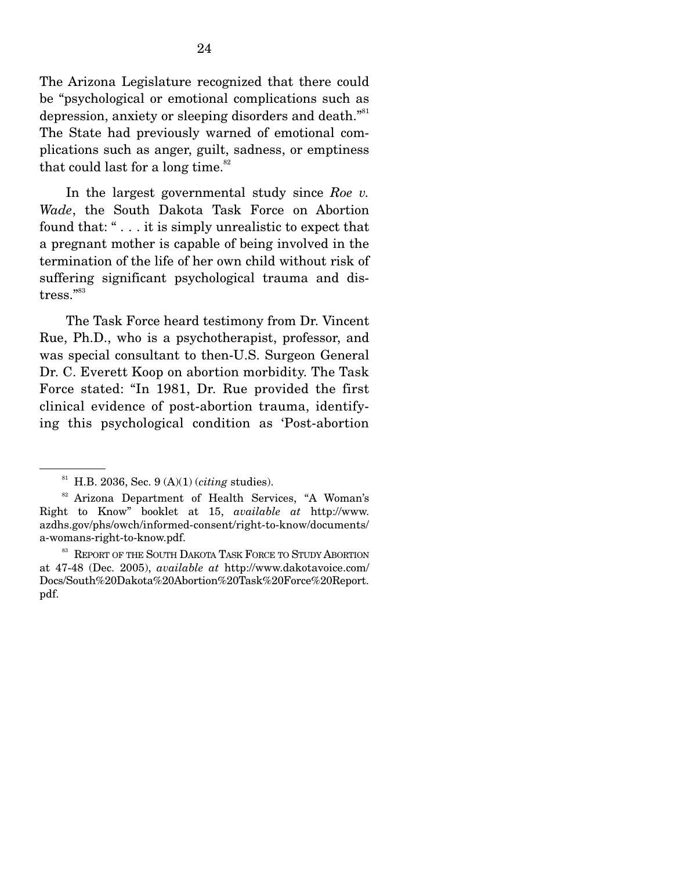The Arizona Legislature recognized that there could be "psychological or emotional complications such as depression, anxiety or sleeping disorders and death."<sup>81</sup> The State had previously warned of emotional complications such as anger, guilt, sadness, or emptiness that could last for a long time. $82$ 

 In the largest governmental study since *Roe v. Wade*, the South Dakota Task Force on Abortion found that: " . . . it is simply unrealistic to expect that a pregnant mother is capable of being involved in the termination of the life of her own child without risk of suffering significant psychological trauma and distress."<sup>83</sup>

 The Task Force heard testimony from Dr. Vincent Rue, Ph.D., who is a psychotherapist, professor, and was special consultant to then-U.S. Surgeon General Dr. C. Everett Koop on abortion morbidity. The Task Force stated: "In 1981, Dr. Rue provided the first clinical evidence of post-abortion trauma, identifying this psychological condition as 'Post-abortion

<sup>81</sup> H.B. 2036, Sec. 9 (A)(1) (*citing* studies).

<sup>&</sup>lt;sup>82</sup> Arizona Department of Health Services, "A Woman's Right to Know" booklet at 15, *available at* http://www. azdhs.gov/phs/owch/informed-consent/right-to-know/documents/ a-womans-right-to-know.pdf.

<sup>&</sup>lt;sup>83</sup> REPORT OF THE SOUTH DAKOTA TASK FORCE TO STUDY ABORTION at 47-48 (Dec. 2005), *available at* http://www.dakotavoice.com/ Docs/South%20Dakota%20Abortion%20Task%20Force%20Report. pdf.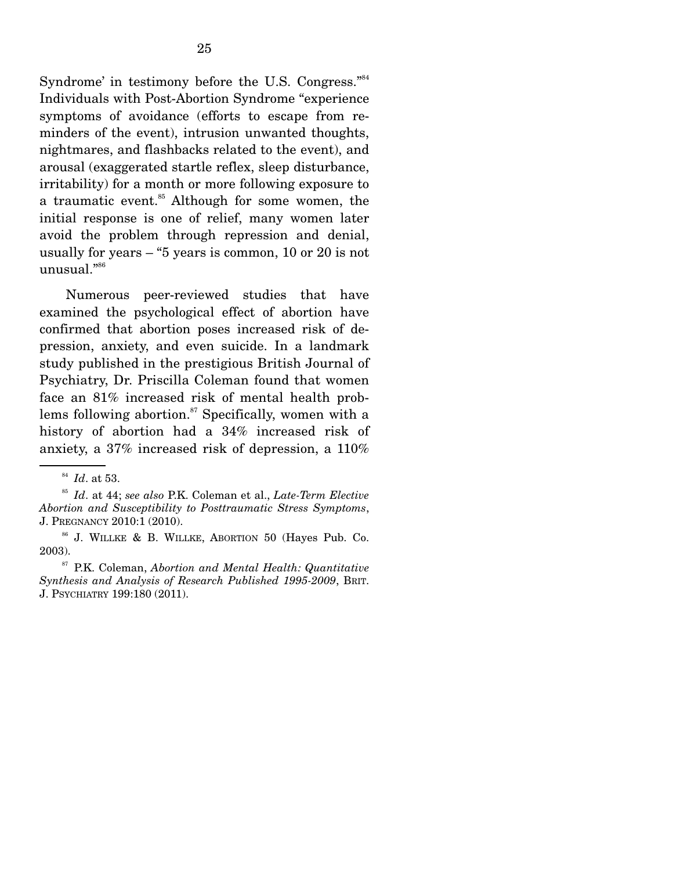Syndrome' in testimony before the U.S. Congress."<sup>84</sup> Individuals with Post-Abortion Syndrome "experience symptoms of avoidance (efforts to escape from reminders of the event), intrusion unwanted thoughts, nightmares, and flashbacks related to the event), and arousal (exaggerated startle reflex, sleep disturbance, irritability) for a month or more following exposure to a traumatic event.<sup>85</sup> Although for some women, the initial response is one of relief, many women later avoid the problem through repression and denial, usually for years – "5 years is common, 10 or 20 is not unusual."<sup>86</sup>

 Numerous peer-reviewed studies that have examined the psychological effect of abortion have confirmed that abortion poses increased risk of depression, anxiety, and even suicide. In a landmark study published in the prestigious British Journal of Psychiatry, Dr. Priscilla Coleman found that women face an 81% increased risk of mental health problems following abortion.<sup>87</sup> Specifically, women with a history of abortion had a 34% increased risk of anxiety, a 37% increased risk of depression, a 110%

<sup>84</sup> *Id*. at 53.

<sup>85</sup> *Id*. at 44; *see also* P.K. Coleman et al., *Late-Term Elective Abortion and Susceptibility to Posttraumatic Stress Symptoms*, J. PREGNANCY 2010:1 (2010).

<sup>86</sup> J. WILLKE & B. WILLKE, ABORTION 50 (Hayes Pub. Co. 2003).

<sup>87</sup> P.K. Coleman, *Abortion and Mental Health: Quantitative Synthesis and Analysis of Research Published 1995-2009*, BRIT. J. PSYCHIATRY 199:180 (2011).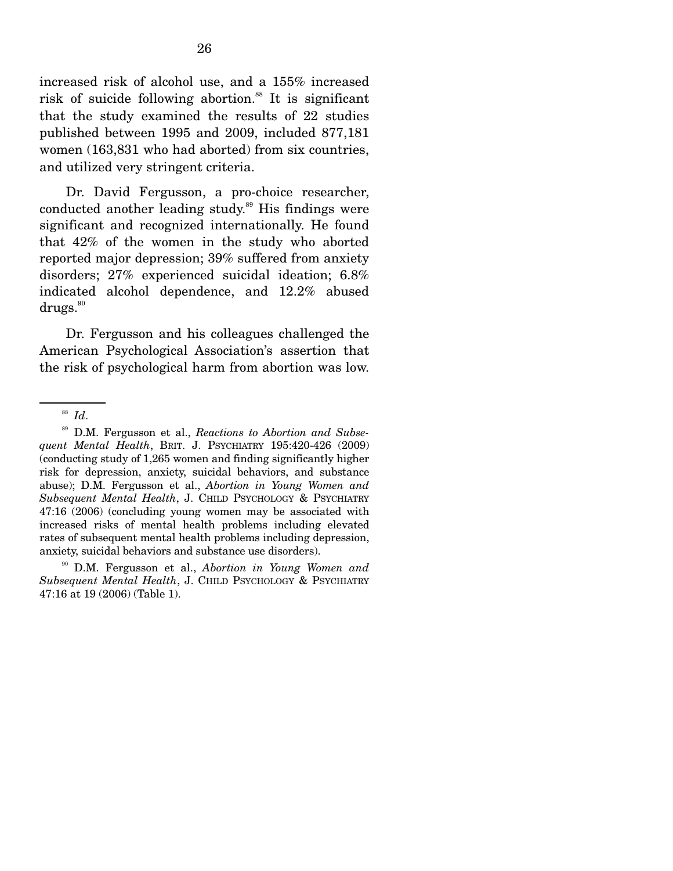increased risk of alcohol use, and a 155% increased risk of suicide following abortion.<sup>88</sup> It is significant that the study examined the results of 22 studies published between 1995 and 2009, included 877,181 women (163,831 who had aborted) from six countries, and utilized very stringent criteria.

 Dr. David Fergusson, a pro-choice researcher, conducted another leading study.<sup>89</sup> His findings were significant and recognized internationally. He found that 42% of the women in the study who aborted reported major depression; 39% suffered from anxiety disorders; 27% experienced suicidal ideation; 6.8% indicated alcohol dependence, and 12.2% abused  $\mathrm{drugs.}^{\mathrm{90}}$ 

 Dr. Fergusson and his colleagues challenged the American Psychological Association's assertion that the risk of psychological harm from abortion was low.

89 D.M. Fergusson et al., *Reactions to Abortion and Subsequent Mental Health*, BRIT. J. PSYCHIATRY 195:420-426 (2009) (conducting study of 1,265 women and finding significantly higher risk for depression, anxiety, suicidal behaviors, and substance abuse); D.M. Fergusson et al., *Abortion in Young Women and Subsequent Mental Health*, J. CHILD PSYCHOLOGY & PSYCHIATRY 47:16 (2006) (concluding young women may be associated with increased risks of mental health problems including elevated rates of subsequent mental health problems including depression, anxiety, suicidal behaviors and substance use disorders).

90 D.M. Fergusson et al., *Abortion in Young Women and Subsequent Mental Health*, J. CHILD PSYCHOLOGY & PSYCHIATRY 47:16 at 19 (2006) (Table 1).

<sup>88</sup> *Id*.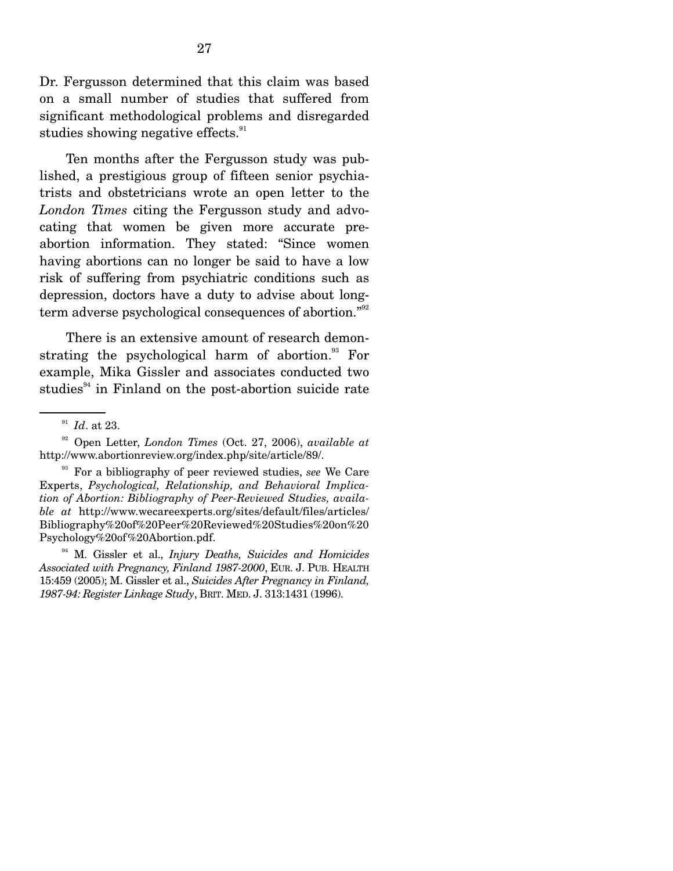Dr. Fergusson determined that this claim was based on a small number of studies that suffered from significant methodological problems and disregarded studies showing negative effects.<sup>91</sup>

 Ten months after the Fergusson study was published, a prestigious group of fifteen senior psychiatrists and obstetricians wrote an open letter to the *London Times* citing the Fergusson study and advocating that women be given more accurate preabortion information. They stated: "Since women having abortions can no longer be said to have a low risk of suffering from psychiatric conditions such as depression, doctors have a duty to advise about longterm adverse psychological consequences of abortion."<sup>92</sup>

 There is an extensive amount of research demonstrating the psychological harm of abortion. $93$  For example, Mika Gissler and associates conducted two studies $94$  in Finland on the post-abortion suicide rate

94 M. Gissler et al., *Injury Deaths, Suicides and Homicides Associated with Pregnancy, Finland 1987-2000*, EUR. J. PUB. HEALTH 15:459 (2005); M. Gissler et al., *Suicides After Pregnancy in Finland, 1987-94: Register Linkage Study*, BRIT. MED. J. 313:1431 (1996).

<sup>91</sup> *Id*. at 23.

<sup>92</sup> Open Letter, *London Times* (Oct. 27, 2006), *available at* http://www.abortionreview.org/index.php/site/article/89/.

<sup>93</sup> For a bibliography of peer reviewed studies, *see* We Care Experts, *Psychological, Relationship, and Behavioral Implication of Abortion: Bibliography of Peer-Reviewed Studies, available at* http://www.wecareexperts.org/sites/default/files/articles/ Bibliography%20of%20Peer%20Reviewed%20Studies%20on%20 Psychology%20of%20Abortion.pdf.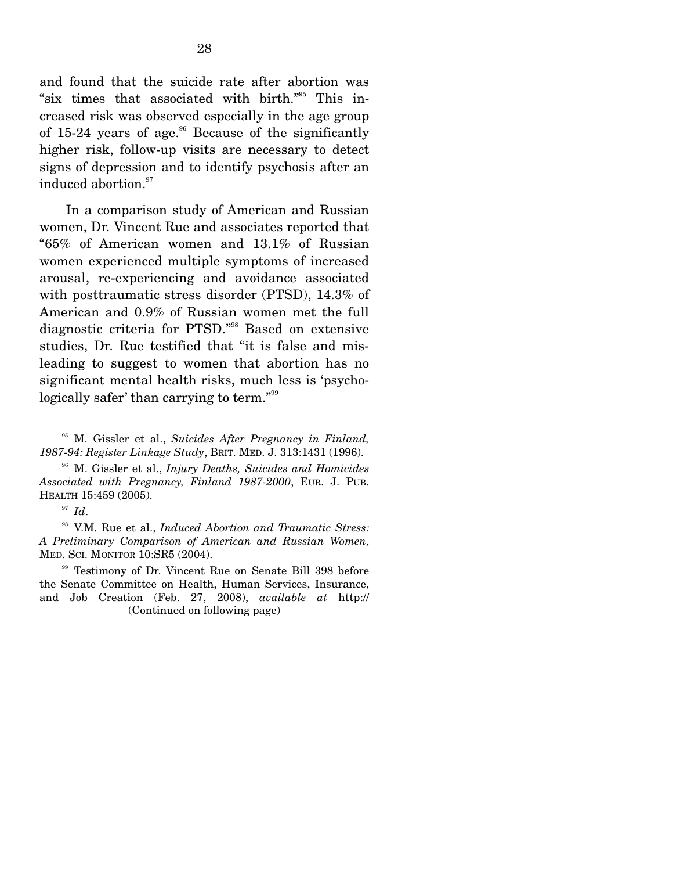and found that the suicide rate after abortion was "six times that associated with birth."95 This increased risk was observed especially in the age group of 15-24 years of age. $96$  Because of the significantly higher risk, follow-up visits are necessary to detect signs of depression and to identify psychosis after an induced abortion.<sup>97</sup>

 In a comparison study of American and Russian women, Dr. Vincent Rue and associates reported that "65% of American women and 13.1% of Russian women experienced multiple symptoms of increased arousal, re-experiencing and avoidance associated with posttraumatic stress disorder (PTSD), 14.3% of American and 0.9% of Russian women met the full diagnostic criteria for PTSD."98 Based on extensive studies, Dr. Rue testified that "it is false and misleading to suggest to women that abortion has no significant mental health risks, much less is 'psychologically safer' than carrying to term."<sup>99</sup>

<sup>97</sup> *Id*.

98 V.M. Rue et al., *Induced Abortion and Traumatic Stress: A Preliminary Comparison of American and Russian Women*, MED. SCI. MONITOR 10:SR5 (2004).

99 Testimony of Dr. Vincent Rue on Senate Bill 398 before the Senate Committee on Health, Human Services, Insurance, and Job Creation (Feb. 27, 2008), *available at* http:// (Continued on following page)

<sup>95</sup> M. Gissler et al., *Suicides After Pregnancy in Finland, 1987-94: Register Linkage Study*, BRIT. MED. J. 313:1431 (1996).

<sup>96</sup> M. Gissler et al., *Injury Deaths, Suicides and Homicides Associated with Pregnancy, Finland 1987-2000*, EUR. J. PUB. HEALTH 15:459 (2005).